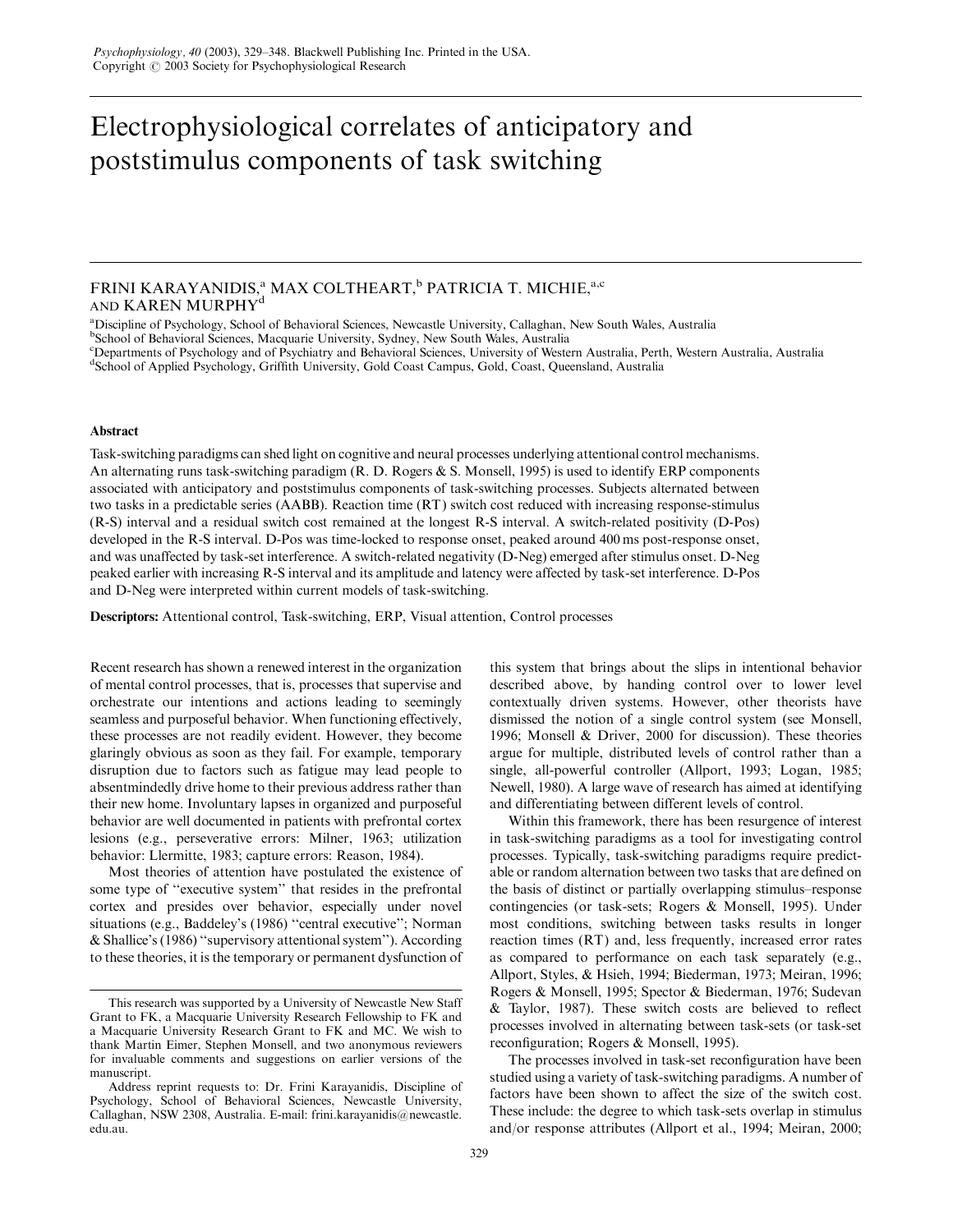# Electrophysiological correlates of anticipatory and poststimulus components of task switching

## FRINI KARAYANIDIS,<sup>a</sup> MAX COLTHEART,<sup>b</sup> PATRICIA T. MICHIE,<sup>a,c</sup> AND  $\rm KAREN$   $\rm MURPHY^d$

a Discipline of Psychology, School of Behavioral Sciences, Newcastle University, Callaghan, New South Wales, Australia

<sup>b</sup>School of Behavioral Sciences, Macquarie University, Sydney, New South Wales, Australia

c Departments of Psychology and of Psychiatry and Behavioral Sciences, University of Western Australia, Perth, Western Australia, Australia

d School of Applied Psychology, Griffith University, Gold Coast Campus, Gold, Coast, Queensland, Australia

#### Abstract

Task-switching paradigms can shed light on cognitive and neural processes underlying attentional control mechanisms. An alternating runs task-switching paradigm (R. D. Rogers & S. Monsell, 1995) is used to identify ERP components associated with anticipatory and poststimulus components of task-switching processes. Subjects alternated between two tasks in a predictable series (AABB). Reaction time (RT ) switch cost reduced with increasing response-stimulus (R-S) interval and a residual switch cost remained at the longest R-S interval. A switch-related positivity (D-Pos) developed in the R-S interval. D-Pos was time-locked to response onset, peaked around 400 ms post-response onset, and was unaffected by task-set interference. A switch-related negativity (D-Neg) emerged after stimulus onset. D-Neg peaked earlier with increasing R-S interval and its amplitude and latency were affected by task-set interference. D-Pos and D-Neg were interpreted within current models of task-switching.

Descriptors: Attentional control, Task-switching, ERP, Visual attention, Control processes

Recent research has shown a renewed interest in the organization of mental control processes, that is, processes that supervise and orchestrate our intentions and actions leading to seemingly seamless and purposeful behavior. When functioning effectively, these processes are not readily evident. However, they become glaringly obvious as soon as they fail. For example, temporary disruption due to factors such as fatigue may lead people to absentmindedly drive home to their previous address rather than their new home. Involuntary lapses in organized and purposeful behavior are well documented in patients with prefrontal cortex lesions (e.g., perseverative errors: Milner, 1963; utilization behavior: Llermitte, 1983; capture errors: Reason, 1984).

Most theories of attention have postulated the existence of some type of ''executive system'' that resides in the prefrontal cortex and presides over behavior, especially under novel situations (e.g., Baddeley's (1986) ''central executive''; Norman & Shallice's (1986) ''supervisory attentional system''). According to these theories, it is the temporary or permanent dysfunction of this system that brings about the slips in intentional behavior described above, by handing control over to lower level contextually driven systems. However, other theorists have dismissed the notion of a single control system (see Monsell, 1996; Monsell & Driver, 2000 for discussion). These theories argue for multiple, distributed levels of control rather than a single, all-powerful controller (Allport, 1993; Logan, 1985; Newell, 1980). A large wave of research has aimed at identifying and differentiating between different levels of control.

Within this framework, there has been resurgence of interest in task-switching paradigms as a tool for investigating control processes. Typically, task-switching paradigms require predictable or random alternation between two tasks that are defined on the basis of distinct or partially overlapping stimulus–response contingencies (or task-sets; Rogers & Monsell, 1995). Under most conditions, switching between tasks results in longer reaction times (RT) and, less frequently, increased error rates as compared to performance on each task separately (e.g., Allport, Styles, & Hsieh, 1994; Biederman, 1973; Meiran, 1996; Rogers & Monsell, 1995; Spector & Biederman, 1976; Sudevan & Taylor, 1987). These switch costs are believed to reflect processes involved in alternating between task-sets (or task-set reconfiguration; Rogers & Monsell, 1995).

The processes involved in task-set reconfiguration have been studied using a variety of task-switching paradigms. A number of factors have been shown to affect the size of the switch cost. These include: the degree to which task-sets overlap in stimulus and/or response attributes (Allport et al., 1994; Meiran, 2000;

This research was supported by a University of Newcastle New Staff Grant to FK, a Macquarie University Research Fellowship to FK and a Macquarie University Research Grant to FK and MC. We wish to thank Martin Eimer, Stephen Monsell, and two anonymous reviewers for invaluable comments and suggestions on earlier versions of the manuscript.

Address reprint requests to: Dr. Frini Karayanidis, Discipline of Psychology, School of Behavioral Sciences, Newcastle University, Callaghan, NSW 2308, Australia. E-mail: frini.karayanidis@newcastle. edu.au.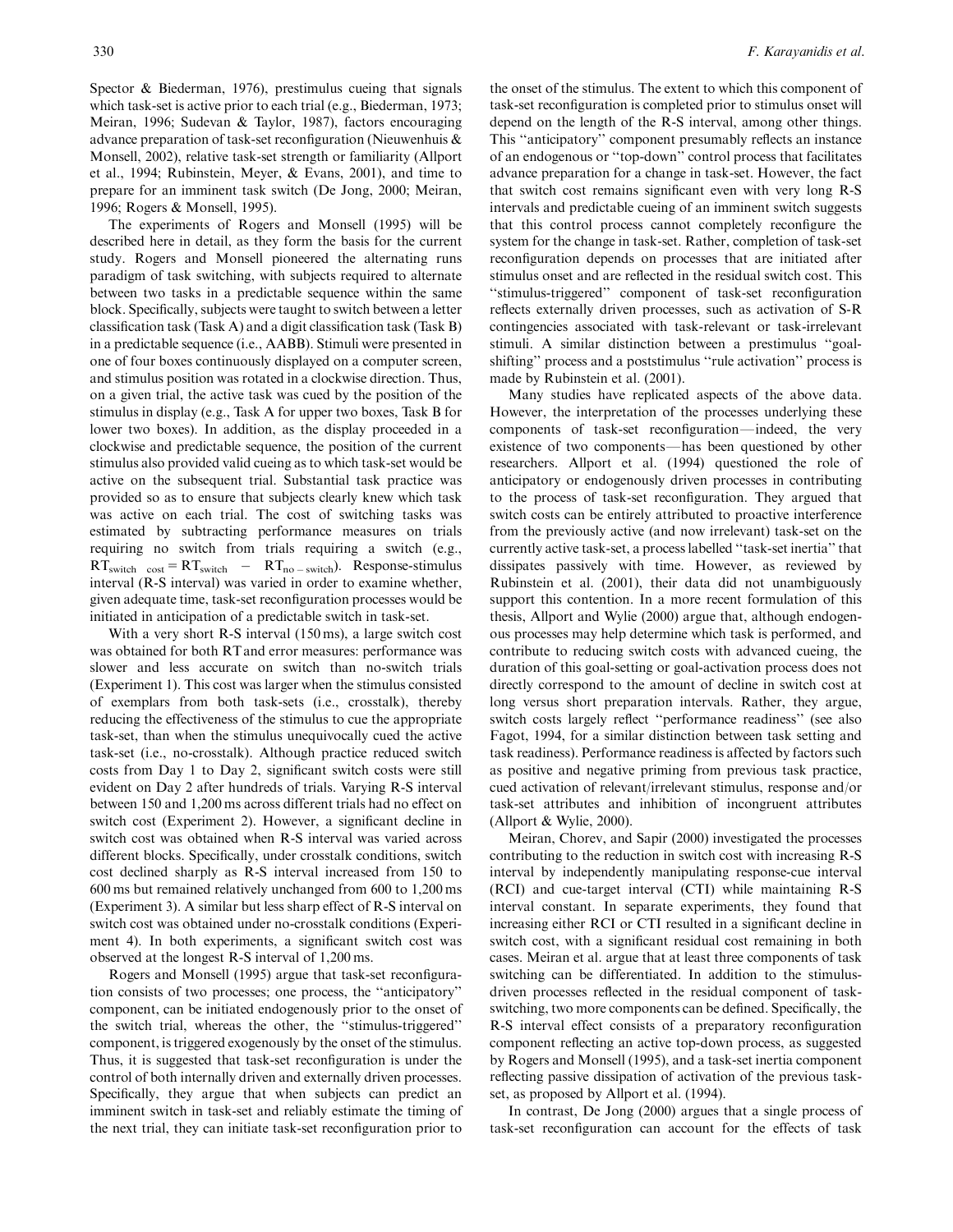Spector & Biederman, 1976), prestimulus cueing that signals which task-set is active prior to each trial (e.g., Biederman, 1973; Meiran, 1996; Sudevan & Taylor, 1987), factors encouraging advance preparation of task-set reconfiguration (Nieuwenhuis & Monsell, 2002), relative task-set strength or familiarity (Allport et al., 1994; Rubinstein, Meyer, & Evans, 2001), and time to prepare for an imminent task switch (De Jong, 2000; Meiran, 1996; Rogers & Monsell, 1995).

The experiments of Rogers and Monsell (1995) will be described here in detail, as they form the basis for the current study. Rogers and Monsell pioneered the alternating runs paradigm of task switching, with subjects required to alternate between two tasks in a predictable sequence within the same block. Specifically, subjects were taught to switch between a letter classification task (Task A) and a digit classification task (Task B) in a predictable sequence (i.e., AABB). Stimuli were presented in one of four boxes continuously displayed on a computer screen, and stimulus position was rotated in a clockwise direction. Thus, on a given trial, the active task was cued by the position of the stimulus in display (e.g., Task A for upper two boxes, Task B for lower two boxes). In addition, as the display proceeded in a clockwise and predictable sequence, the position of the current stimulus also provided valid cueing as to which task-set would be active on the subsequent trial. Substantial task practice was provided so as to ensure that subjects clearly knew which task was active on each trial. The cost of switching tasks was estimated by subtracting performance measures on trials requiring no switch from trials requiring a switch (e.g.,  $RT<sub>switch</sub>$   $_{cost} = RT<sub>switch</sub>$   $- RT<sub>no-switch</sub>$ . Response-stimulus interval (R-S interval) was varied in order to examine whether, given adequate time, task-set reconfiguration processes would be initiated in anticipation of a predictable switch in task-set.

With a very short R-S interval (150 ms), a large switch cost was obtained for both RT and error measures: performance was slower and less accurate on switch than no-switch trials (Experiment 1). This cost was larger when the stimulus consisted of exemplars from both task-sets (i.e., crosstalk), thereby reducing the effectiveness of the stimulus to cue the appropriate task-set, than when the stimulus unequivocally cued the active task-set (i.e., no-crosstalk). Although practice reduced switch costs from Day 1 to Day 2, significant switch costs were still evident on Day 2 after hundreds of trials. Varying R-S interval between 150 and 1,200 ms across different trials had no effect on switch cost (Experiment 2). However, a significant decline in switch cost was obtained when R-S interval was varied across different blocks. Specifically, under crosstalk conditions, switch cost declined sharply as R-S interval increased from 150 to 600 ms but remained relatively unchanged from 600 to 1,200 ms (Experiment 3). A similar but less sharp effect of R-S interval on switch cost was obtained under no-crosstalk conditions (Experiment 4). In both experiments, a significant switch cost was observed at the longest R-S interval of 1,200 ms.

Rogers and Monsell (1995) argue that task-set reconfiguration consists of two processes; one process, the ''anticipatory'' component, can be initiated endogenously prior to the onset of the switch trial, whereas the other, the ''stimulus-triggered'' component, is triggered exogenously by the onset of the stimulus. Thus, it is suggested that task-set reconfiguration is under the control of both internally driven and externally driven processes. Specifically, they argue that when subjects can predict an imminent switch in task-set and reliably estimate the timing of the next trial, they can initiate task-set reconfiguration prior to the onset of the stimulus. The extent to which this component of task-set reconfiguration is completed prior to stimulus onset will depend on the length of the R-S interval, among other things. This ''anticipatory'' component presumably reflects an instance of an endogenous or ''top-down'' control process that facilitates advance preparation for a change in task-set. However, the fact that switch cost remains significant even with very long R-S intervals and predictable cueing of an imminent switch suggests that this control process cannot completely reconfigure the system for the change in task-set. Rather, completion of task-set reconfiguration depends on processes that are initiated after stimulus onset and are reflected in the residual switch cost. This ''stimulus-triggered'' component of task-set reconfiguration reflects externally driven processes, such as activation of S-R contingencies associated with task-relevant or task-irrelevant stimuli. A similar distinction between a prestimulus ''goalshifting'' process and a poststimulus ''rule activation'' process is made by Rubinstein et al. (2001).

Many studies have replicated aspects of the above data. However, the interpretation of the processes underlying these components of task-set reconfiguration—indeed, the very existence of two components—has been questioned by other researchers. Allport et al. (1994) questioned the role of anticipatory or endogenously driven processes in contributing to the process of task-set reconfiguration. They argued that switch costs can be entirely attributed to proactive interference from the previously active (and now irrelevant) task-set on the currently active task-set, a process labelled ''task-set inertia'' that dissipates passively with time. However, as reviewed by Rubinstein et al. (2001), their data did not unambiguously support this contention. In a more recent formulation of this thesis, Allport and Wylie (2000) argue that, although endogenous processes may help determine which task is performed, and contribute to reducing switch costs with advanced cueing, the duration of this goal-setting or goal-activation process does not directly correspond to the amount of decline in switch cost at long versus short preparation intervals. Rather, they argue, switch costs largely reflect ''performance readiness'' (see also Fagot, 1994, for a similar distinction between task setting and task readiness). Performance readiness is affected by factors such as positive and negative priming from previous task practice, cued activation of relevant/irrelevant stimulus, response and/or task-set attributes and inhibition of incongruent attributes (Allport & Wylie, 2000).

Meiran, Chorev, and Sapir (2000) investigated the processes contributing to the reduction in switch cost with increasing R-S interval by independently manipulating response-cue interval (RCI) and cue-target interval (CTI) while maintaining R-S interval constant. In separate experiments, they found that increasing either RCI or CTI resulted in a significant decline in switch cost, with a significant residual cost remaining in both cases. Meiran et al. argue that at least three components of task switching can be differentiated. In addition to the stimulusdriven processes reflected in the residual component of taskswitching, two more components can be defined. Specifically, the R-S interval effect consists of a preparatory reconfiguration component reflecting an active top-down process, as suggested by Rogers and Monsell (1995), and a task-set inertia component reflecting passive dissipation of activation of the previous taskset, as proposed by Allport et al. (1994).

In contrast, De Jong (2000) argues that a single process of task-set reconfiguration can account for the effects of task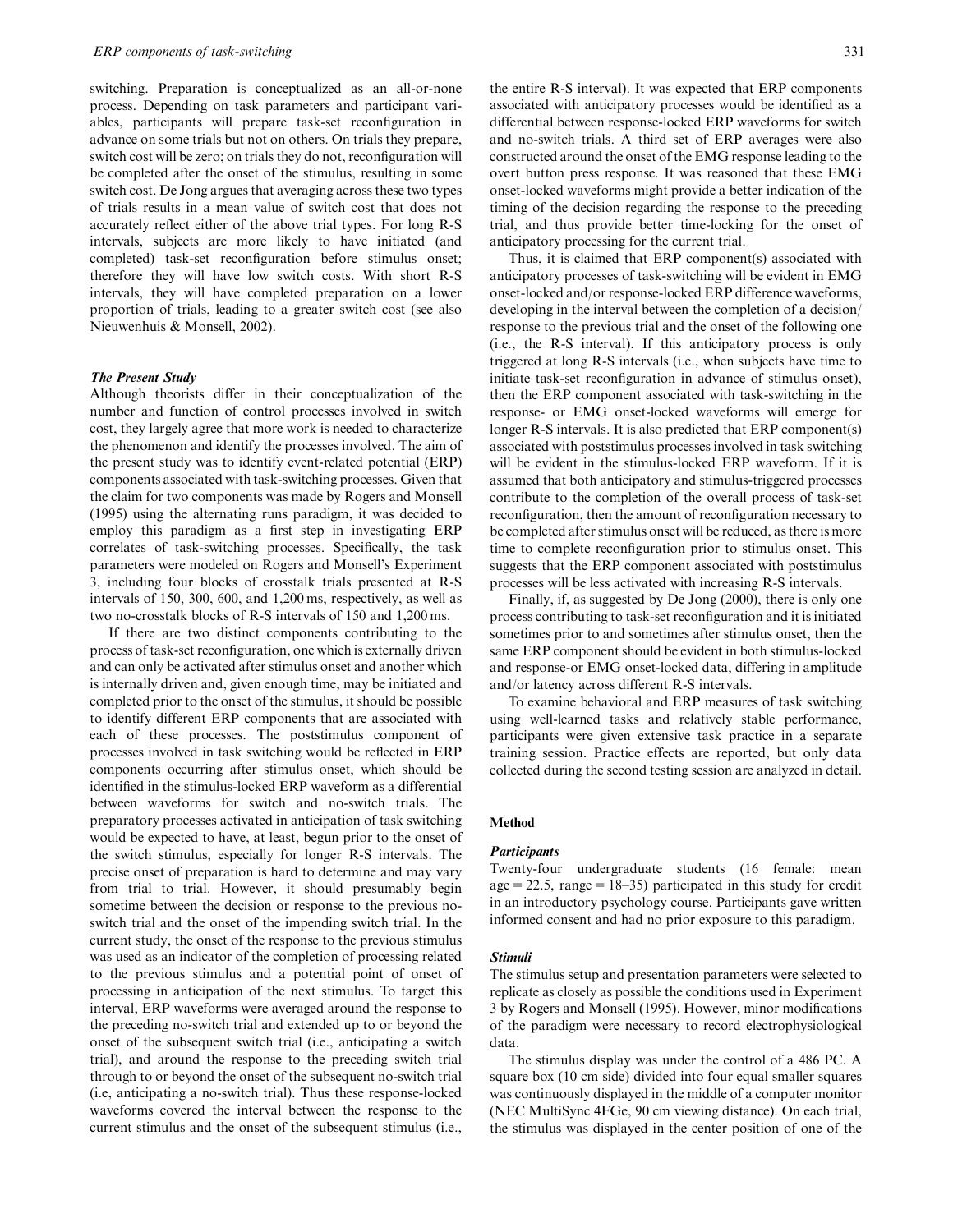switching. Preparation is conceptualized as an all-or-none process. Depending on task parameters and participant variables, participants will prepare task-set reconfiguration in advance on some trials but not on others. On trials they prepare, switch cost will be zero; on trials they do not, reconfiguration will be completed after the onset of the stimulus, resulting in some switch cost. De Jong argues that averaging across these two types of trials results in a mean value of switch cost that does not accurately reflect either of the above trial types. For long R-S intervals, subjects are more likely to have initiated (and completed) task-set reconfiguration before stimulus onset; therefore they will have low switch costs. With short R-S intervals, they will have completed preparation on a lower proportion of trials, leading to a greater switch cost (see also Nieuwenhuis & Monsell, 2002).

#### The Present Study

Although theorists differ in their conceptualization of the number and function of control processes involved in switch cost, they largely agree that more work is needed to characterize the phenomenon and identify the processes involved. The aim of the present study was to identify event-related potential (ERP) components associated with task-switching processes. Given that the claim for two components was made by Rogers and Monsell (1995) using the alternating runs paradigm, it was decided to employ this paradigm as a first step in investigating ERP correlates of task-switching processes. Specifically, the task parameters were modeled on Rogers and Monsell's Experiment 3, including four blocks of crosstalk trials presented at R-S intervals of 150, 300, 600, and 1,200 ms, respectively, as well as two no-crosstalk blocks of R-S intervals of 150 and 1,200 ms.

If there are two distinct components contributing to the process of task-set reconfiguration, one which is externally driven and can only be activated after stimulus onset and another which is internally driven and, given enough time, may be initiated and completed prior to the onset of the stimulus, it should be possible to identify different ERP components that are associated with each of these processes. The poststimulus component of processes involved in task switching would be reflected in ERP components occurring after stimulus onset, which should be identified in the stimulus-locked ERP waveform as a differential between waveforms for switch and no-switch trials. The preparatory processes activated in anticipation of task switching would be expected to have, at least, begun prior to the onset of the switch stimulus, especially for longer R-S intervals. The precise onset of preparation is hard to determine and may vary from trial to trial. However, it should presumably begin sometime between the decision or response to the previous noswitch trial and the onset of the impending switch trial. In the current study, the onset of the response to the previous stimulus was used as an indicator of the completion of processing related to the previous stimulus and a potential point of onset of processing in anticipation of the next stimulus. To target this interval, ERP waveforms were averaged around the response to the preceding no-switch trial and extended up to or beyond the onset of the subsequent switch trial (i.e., anticipating a switch trial), and around the response to the preceding switch trial through to or beyond the onset of the subsequent no-switch trial (i.e, anticipating a no-switch trial). Thus these response-locked waveforms covered the interval between the response to the current stimulus and the onset of the subsequent stimulus (i.e., the entire R-S interval). It was expected that ERP components associated with anticipatory processes would be identified as a differential between response-locked ERP waveforms for switch and no-switch trials. A third set of ERP averages were also constructed around the onset of the EMG response leading to the overt button press response. It was reasoned that these EMG onset-locked waveforms might provide a better indication of the timing of the decision regarding the response to the preceding trial, and thus provide better time-locking for the onset of anticipatory processing for the current trial.

Thus, it is claimed that ERP component(s) associated with anticipatory processes of task-switching will be evident in EMG onset-locked and/or response-locked ERP difference waveforms, developing in the interval between the completion of a decision/ response to the previous trial and the onset of the following one (i.e., the R-S interval). If this anticipatory process is only triggered at long R-S intervals (i.e., when subjects have time to initiate task-set reconfiguration in advance of stimulus onset), then the ERP component associated with task-switching in the response- or EMG onset-locked waveforms will emerge for longer R-S intervals. It is also predicted that ERP component(s) associated with poststimulus processes involved in task switching will be evident in the stimulus-locked ERP waveform. If it is assumed that both anticipatory and stimulus-triggered processes contribute to the completion of the overall process of task-set reconfiguration, then the amount of reconfiguration necessary to be completed after stimulus onset will be reduced, as there is more time to complete reconfiguration prior to stimulus onset. This suggests that the ERP component associated with poststimulus processes will be less activated with increasing R-S intervals.

Finally, if, as suggested by De Jong (2000), there is only one process contributing to task-set reconfiguration and it is initiated sometimes prior to and sometimes after stimulus onset, then the same ERP component should be evident in both stimulus-locked and response-or EMG onset-locked data, differing in amplitude and/or latency across different R-S intervals.

To examine behavioral and ERP measures of task switching using well-learned tasks and relatively stable performance, participants were given extensive task practice in a separate training session. Practice effects are reported, but only data collected during the second testing session are analyzed in detail.

#### Method

#### **Participants**

Twenty-four undergraduate students (16 female: mean  $age = 22.5$ , range = 18–35) participated in this study for credit in an introductory psychology course. Participants gave written informed consent and had no prior exposure to this paradigm.

## Stimuli

The stimulus setup and presentation parameters were selected to replicate as closely as possible the conditions used in Experiment 3 by Rogers and Monsell (1995). However, minor modifications of the paradigm were necessary to record electrophysiological data.

The stimulus display was under the control of a 486 PC. A square box (10 cm side) divided into four equal smaller squares was continuously displayed in the middle of a computer monitor (NEC MultiSync 4FGe, 90 cm viewing distance). On each trial, the stimulus was displayed in the center position of one of the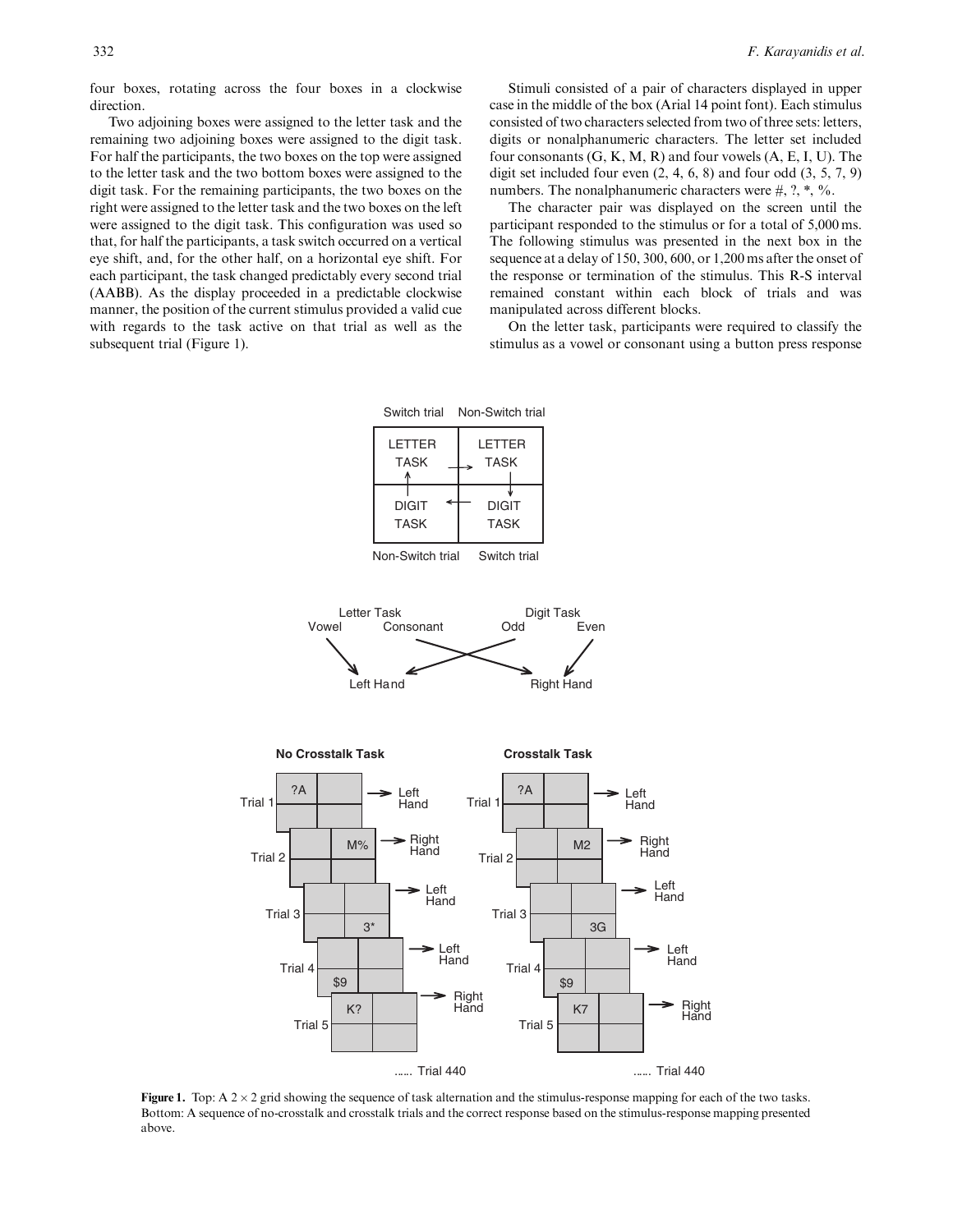four boxes, rotating across the four boxes in a clockwise direction.

Two adjoining boxes were assigned to the letter task and the remaining two adjoining boxes were assigned to the digit task. For half the participants, the two boxes on the top were assigned to the letter task and the two bottom boxes were assigned to the digit task. For the remaining participants, the two boxes on the right were assigned to the letter task and the two boxes on the left were assigned to the digit task. This configuration was used so that, for half the participants, a task switch occurred on a vertical eye shift, and, for the other half, on a horizontal eye shift. For each participant, the task changed predictably every second trial (AABB). As the display proceeded in a predictable clockwise manner, the position of the current stimulus provided a valid cue with regards to the task active on that trial as well as the subsequent trial (Figure 1).

Stimuli consisted of a pair of characters displayed in upper case in the middle of the box (Arial 14 point font). Each stimulus consisted of two characters selected from two of three sets: letters, digits or nonalphanumeric characters. The letter set included four consonants (G, K, M, R) and four vowels (A, E, I, U). The digit set included four even  $(2, 4, 6, 8)$  and four odd  $(3, 5, 7, 9)$ numbers. The nonalphanumeric characters were  $\#$ ,  $?$ ,  $*$ ,  $\%$ .

The character pair was displayed on the screen until the participant responded to the stimulus or for a total of 5,000 ms. The following stimulus was presented in the next box in the sequence at a delay of 150, 300, 600, or 1,200 ms after the onset of the response or termination of the stimulus. This R-S interval remained constant within each block of trials and was manipulated across different blocks.

On the letter task, participants were required to classify the stimulus as a vowel or consonant using a button press response



Figure 1. Top: A  $2 \times 2$  grid showing the sequence of task alternation and the stimulus-response mapping for each of the two tasks. Bottom: A sequence of no-crosstalk and crosstalk trials and the correct response based on the stimulus-response mapping presented above.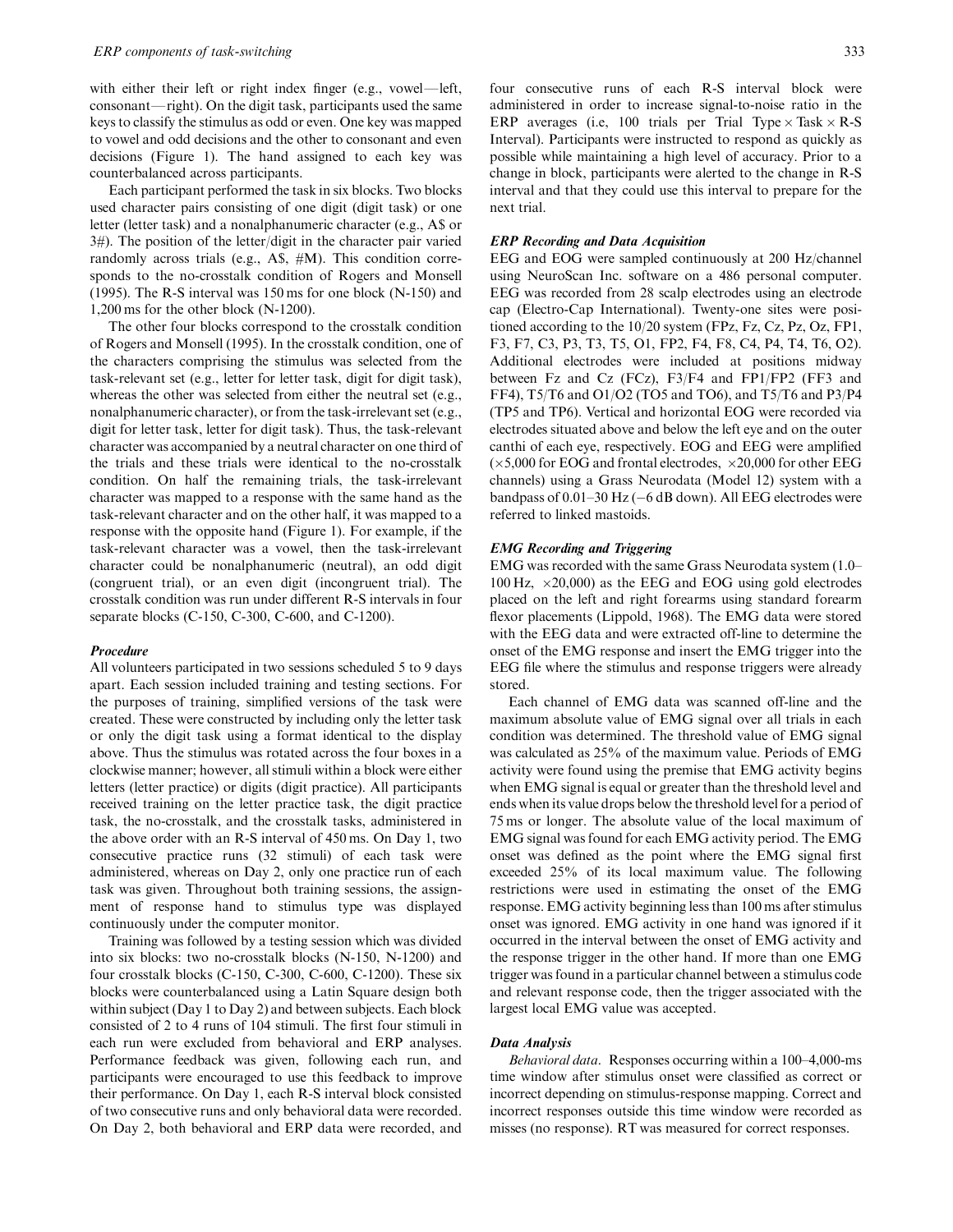with either their left or right index finger (e.g., vowel—left, consonant—right). On the digit task, participants used the same keys to classify the stimulus as odd or even. One key was mapped to vowel and odd decisions and the other to consonant and even decisions (Figure 1). The hand assigned to each key was counterbalanced across participants.

Each participant performed the task in six blocks. Two blocks used character pairs consisting of one digit (digit task) or one letter (letter task) and a nonalphanumeric character (e.g., A\$ or 3#). The position of the letter/digit in the character pair varied randomly across trials (e.g., A\$, #M). This condition corresponds to the no-crosstalk condition of Rogers and Monsell (1995). The R-S interval was 150 ms for one block (N-150) and 1,200 ms for the other block (N-1200).

The other four blocks correspond to the crosstalk condition of Rogers and Monsell (1995). In the crosstalk condition, one of the characters comprising the stimulus was selected from the task-relevant set (e.g., letter for letter task, digit for digit task), whereas the other was selected from either the neutral set (e.g., nonalphanumeric character), or from the task-irrelevant set (e.g., digit for letter task, letter for digit task). Thus, the task-relevant character was accompanied by a neutral character on one third of the trials and these trials were identical to the no-crosstalk condition. On half the remaining trials, the task-irrelevant character was mapped to a response with the same hand as the task-relevant character and on the other half, it was mapped to a response with the opposite hand (Figure 1). For example, if the task-relevant character was a vowel, then the task-irrelevant character could be nonalphanumeric (neutral), an odd digit (congruent trial), or an even digit (incongruent trial). The crosstalk condition was run under different R-S intervals in four separate blocks (C-150, C-300, C-600, and C-1200).

#### Procedure

All volunteers participated in two sessions scheduled 5 to 9 days apart. Each session included training and testing sections. For the purposes of training, simplified versions of the task were created. These were constructed by including only the letter task or only the digit task using a format identical to the display above. Thus the stimulus was rotated across the four boxes in a clockwise manner; however, all stimuli within a block were either letters (letter practice) or digits (digit practice). All participants received training on the letter practice task, the digit practice task, the no-crosstalk, and the crosstalk tasks, administered in the above order with an R-S interval of 450 ms. On Day 1, two consecutive practice runs (32 stimuli) of each task were administered, whereas on Day 2, only one practice run of each task was given. Throughout both training sessions, the assignment of response hand to stimulus type was displayed continuously under the computer monitor.

Training was followed by a testing session which was divided into six blocks: two no-crosstalk blocks (N-150, N-1200) and four crosstalk blocks (C-150, C-300, C-600, C-1200). These six blocks were counterbalanced using a Latin Square design both within subject (Day 1 to Day 2) and between subjects. Each block consisted of 2 to 4 runs of 104 stimuli. The first four stimuli in each run were excluded from behavioral and ERP analyses. Performance feedback was given, following each run, and participants were encouraged to use this feedback to improve their performance. On Day 1, each R-S interval block consisted of two consecutive runs and only behavioral data were recorded. On Day 2, both behavioral and ERP data were recorded, and four consecutive runs of each R-S interval block were administered in order to increase signal-to-noise ratio in the ERP averages (i.e, 100 trials per Trial Type  $\times$  Task  $\times$  R-S Interval). Participants were instructed to respond as quickly as possible while maintaining a high level of accuracy. Prior to a change in block, participants were alerted to the change in R-S interval and that they could use this interval to prepare for the next trial.

## ERP Recording and Data Acquisition

EEG and EOG were sampled continuously at 200 Hz/channel using NeuroScan Inc. software on a 486 personal computer. EEG was recorded from 28 scalp electrodes using an electrode cap (Electro-Cap International). Twenty-one sites were positioned according to the 10/20 system (FPz, Fz, Cz, Pz, Oz, FP1, F3, F7, C3, P3, T3, T5, O1, FP2, F4, F8, C4, P4, T4, T6, O2). Additional electrodes were included at positions midway between Fz and Cz (FCz), F3/F4 and FP1/FP2 (FF3 and FF4), T5/T6 and O1/O2 (TO5 and TO6), and T5/T6 and P3/P4 (TP5 and TP6). Vertical and horizontal EOG were recorded via electrodes situated above and below the left eye and on the outer canthi of each eye, respectively. EOG and EEG were amplified  $(\times 5,000$  for EOG and frontal electrodes,  $\times 20,000$  for other EEG channels) using a Grass Neurodata (Model 12) system with a bandpass of  $0.01-30$  Hz ( $-6$  dB down). All EEG electrodes were referred to linked mastoids.

## EMG Recording and Triggering

EMG was recorded with the same Grass Neurodata system (1.0– 100 Hz,  $\times$ 20,000) as the EEG and EOG using gold electrodes placed on the left and right forearms using standard forearm flexor placements (Lippold, 1968). The EMG data were stored with the EEG data and were extracted off-line to determine the onset of the EMG response and insert the EMG trigger into the EEG file where the stimulus and response triggers were already stored.

Each channel of EMG data was scanned off-line and the maximum absolute value of EMG signal over all trials in each condition was determined. The threshold value of EMG signal was calculated as 25% of the maximum value. Periods of EMG activity were found using the premise that EMG activity begins when EMG signal is equal or greater than the threshold level and ends when its value drops below the threshold level for a period of 75 ms or longer. The absolute value of the local maximum of EMG signal was found for each EMG activity period. The EMG onset was defined as the point where the EMG signal first exceeded 25% of its local maximum value. The following restrictions were used in estimating the onset of the EMG response. EMG activity beginning less than 100 ms after stimulus onset was ignored. EMG activity in one hand was ignored if it occurred in the interval between the onset of EMG activity and the response trigger in the other hand. If more than one EMG trigger was found in a particular channel between a stimulus code and relevant response code, then the trigger associated with the largest local EMG value was accepted.

## Data Analysis

Behavioral data. Responses occurring within a 100–4,000-ms time window after stimulus onset were classified as correct or incorrect depending on stimulus-response mapping. Correct and incorrect responses outside this time window were recorded as misses (no response). RT was measured for correct responses.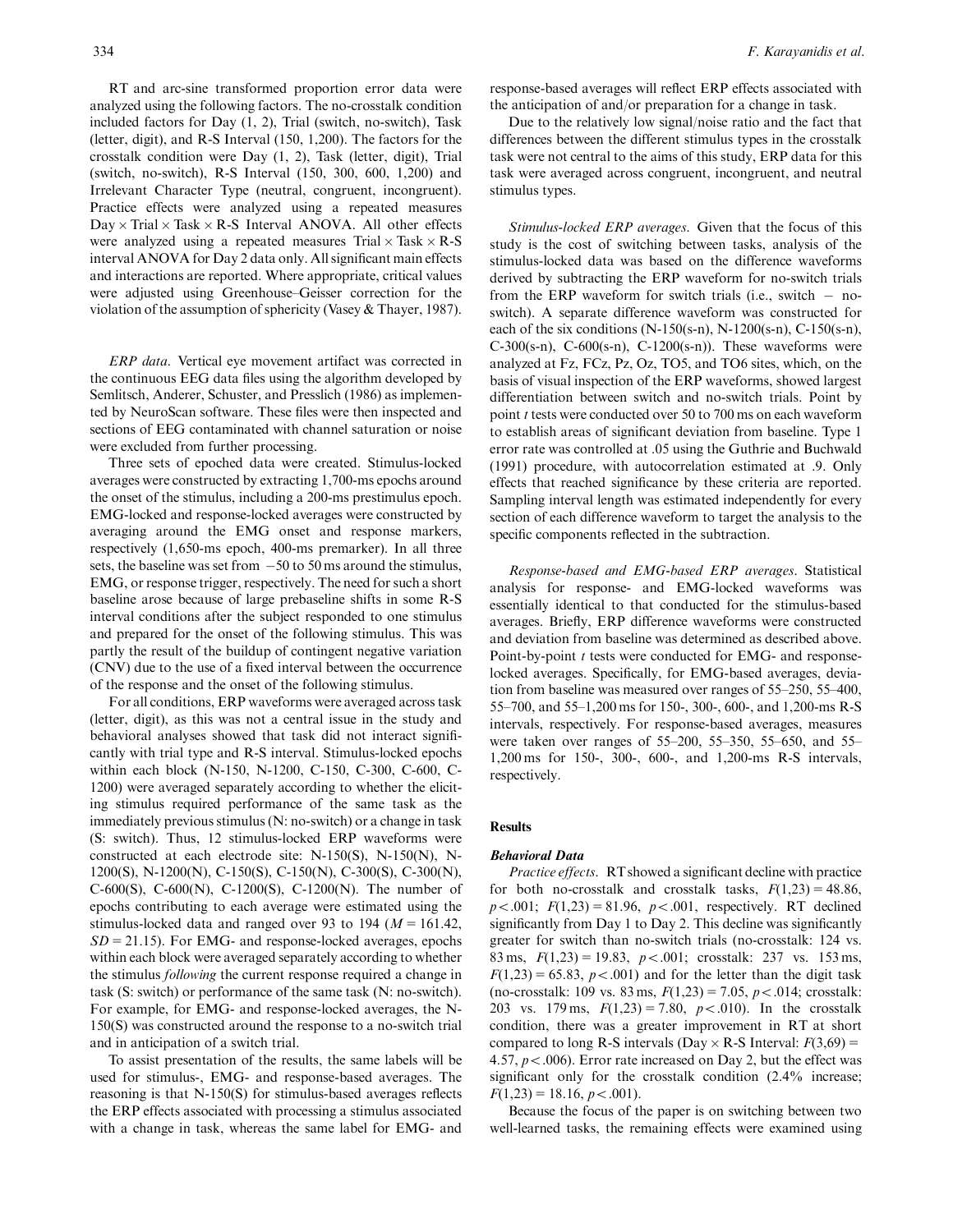RT and arc-sine transformed proportion error data were analyzed using the following factors. The no-crosstalk condition included factors for Day (1, 2), Trial (switch, no-switch), Task (letter, digit), and R-S Interval (150, 1,200). The factors for the crosstalk condition were Day (1, 2), Task (letter, digit), Trial (switch, no-switch), R-S Interval (150, 300, 600, 1,200) and Irrelevant Character Type (neutral, congruent, incongruent). Practice effects were analyzed using a repeated measures  $Day \times Trial \times Task \times R-S$  Interval ANOVA. All other effects were analyzed using a repeated measures  $Trial \times Task \times R-S$ interval ANOVA for Day 2 data only. All significant main effects and interactions are reported. Where appropriate, critical values were adjusted using Greenhouse–Geisser correction for the violation of the assumption of sphericity (Vasey & Thayer, 1987).

ERP data. Vertical eye movement artifact was corrected in the continuous EEG data files using the algorithm developed by Semlitsch, Anderer, Schuster, and Presslich (1986) as implemented by NeuroScan software. These files were then inspected and sections of EEG contaminated with channel saturation or noise were excluded from further processing.

Three sets of epoched data were created. Stimulus-locked averages were constructed by extracting 1,700-ms epochs around the onset of the stimulus, including a 200-ms prestimulus epoch. EMG-locked and response-locked averages were constructed by averaging around the EMG onset and response markers, respectively (1,650-ms epoch, 400-ms premarker). In all three sets, the baseline was set from  $-50$  to 50 ms around the stimulus, EMG, or response trigger, respectively. The need for such a short baseline arose because of large prebaseline shifts in some R-S interval conditions after the subject responded to one stimulus and prepared for the onset of the following stimulus. This was partly the result of the buildup of contingent negative variation (CNV) due to the use of a fixed interval between the occurrence of the response and the onset of the following stimulus.

For all conditions, ERP waveforms were averaged across task (letter, digit), as this was not a central issue in the study and behavioral analyses showed that task did not interact significantly with trial type and R-S interval. Stimulus-locked epochs within each block (N-150, N-1200, C-150, C-300, C-600, C-1200) were averaged separately according to whether the eliciting stimulus required performance of the same task as the immediately previous stimulus (N: no-switch) or a change in task (S: switch). Thus, 12 stimulus-locked ERP waveforms were constructed at each electrode site: N-150(S), N-150(N), N-1200(S), N-1200(N), C-150(S), C-150(N), C-300(S), C-300(N), C-600(S), C-600(N), C-1200(S), C-1200(N). The number of epochs contributing to each average were estimated using the stimulus-locked data and ranged over 93 to 194 ( $M = 161.42$ ,  $SD = 21.15$ ). For EMG- and response-locked averages, epochs within each block were averaged separately according to whether the stimulus following the current response required a change in task (S: switch) or performance of the same task (N: no-switch). For example, for EMG- and response-locked averages, the N-150(S) was constructed around the response to a no-switch trial and in anticipation of a switch trial.

To assist presentation of the results, the same labels will be used for stimulus-, EMG- and response-based averages. The reasoning is that N-150(S) for stimulus-based averages reflects the ERP effects associated with processing a stimulus associated with a change in task, whereas the same label for EMG- and response-based averages will reflect ERP effects associated with the anticipation of and/or preparation for a change in task.

Due to the relatively low signal/noise ratio and the fact that differences between the different stimulus types in the crosstalk task were not central to the aims of this study, ERP data for this task were averaged across congruent, incongruent, and neutral stimulus types.

Stimulus-locked ERP averages. Given that the focus of this study is the cost of switching between tasks, analysis of the stimulus-locked data was based on the difference waveforms derived by subtracting the ERP waveform for no-switch trials from the ERP waveform for switch trials (i.e., switch  $-$  noswitch). A separate difference waveform was constructed for each of the six conditions (N-150(s-n), N-1200(s-n), C-150(s-n), C-300(s-n), C-600(s-n), C-1200(s-n)). These waveforms were analyzed at Fz, FCz, Pz, Oz, TO5, and TO6 sites, which, on the basis of visual inspection of the ERP waveforms, showed largest differentiation between switch and no-switch trials. Point by point t tests were conducted over 50 to 700 ms on each waveform to establish areas of significant deviation from baseline. Type 1 error rate was controlled at .05 using the Guthrie and Buchwald (1991) procedure, with autocorrelation estimated at .9. Only effects that reached significance by these criteria are reported. Sampling interval length was estimated independently for every section of each difference waveform to target the analysis to the specific components reflected in the subtraction.

Response-based and EMG-based ERP averages. Statistical analysis for response- and EMG-locked waveforms was essentially identical to that conducted for the stimulus-based averages. Briefly, ERP difference waveforms were constructed and deviation from baseline was determined as described above. Point-by-point  $t$  tests were conducted for EMG- and responselocked averages. Specifically, for EMG-based averages, deviation from baseline was measured over ranges of 55–250, 55–400, 55–700, and 55–1,200 ms for 150-, 300-, 600-, and 1,200-ms R-S intervals, respectively. For response-based averages, measures were taken over ranges of 55–200, 55–350, 55–650, and 55– 1,200 ms for 150-, 300-, 600-, and 1,200-ms R-S intervals, respectively.

#### Results

### Behavioral Data

Practice effects. RT showed a significant decline with practice for both no-crosstalk and crosstalk tasks,  $F(1,23) = 48.86$ ,  $p < .001$ ;  $F(1,23) = 81.96$ ,  $p < .001$ , respectively. RT declined significantly from Day 1 to Day 2. This decline was significantly greater for switch than no-switch trials (no-crosstalk: 124 vs. 83 ms,  $F(1,23) = 19.83$ ,  $p < .001$ ; crosstalk: 237 vs. 153 ms,  $F(1,23) = 65.83$ ,  $p < .001$ ) and for the letter than the digit task (no-crosstalk: 109 vs. 83 ms,  $F(1,23) = 7.05$ ,  $p < .014$ ; crosstalk: 203 vs. 179 ms,  $F(1,23) = 7.80$ ,  $p < .010$ ). In the crosstalk condition, there was a greater improvement in RT at short compared to long R-S intervals (Day  $\times$  R-S Interval:  $F(3,69)$  = 4.57,  $p < .006$ ). Error rate increased on Day 2, but the effect was significant only for the crosstalk condition (2.4% increase;  $F(1,23) = 18.16, p < .001$ .

Because the focus of the paper is on switching between two well-learned tasks, the remaining effects were examined using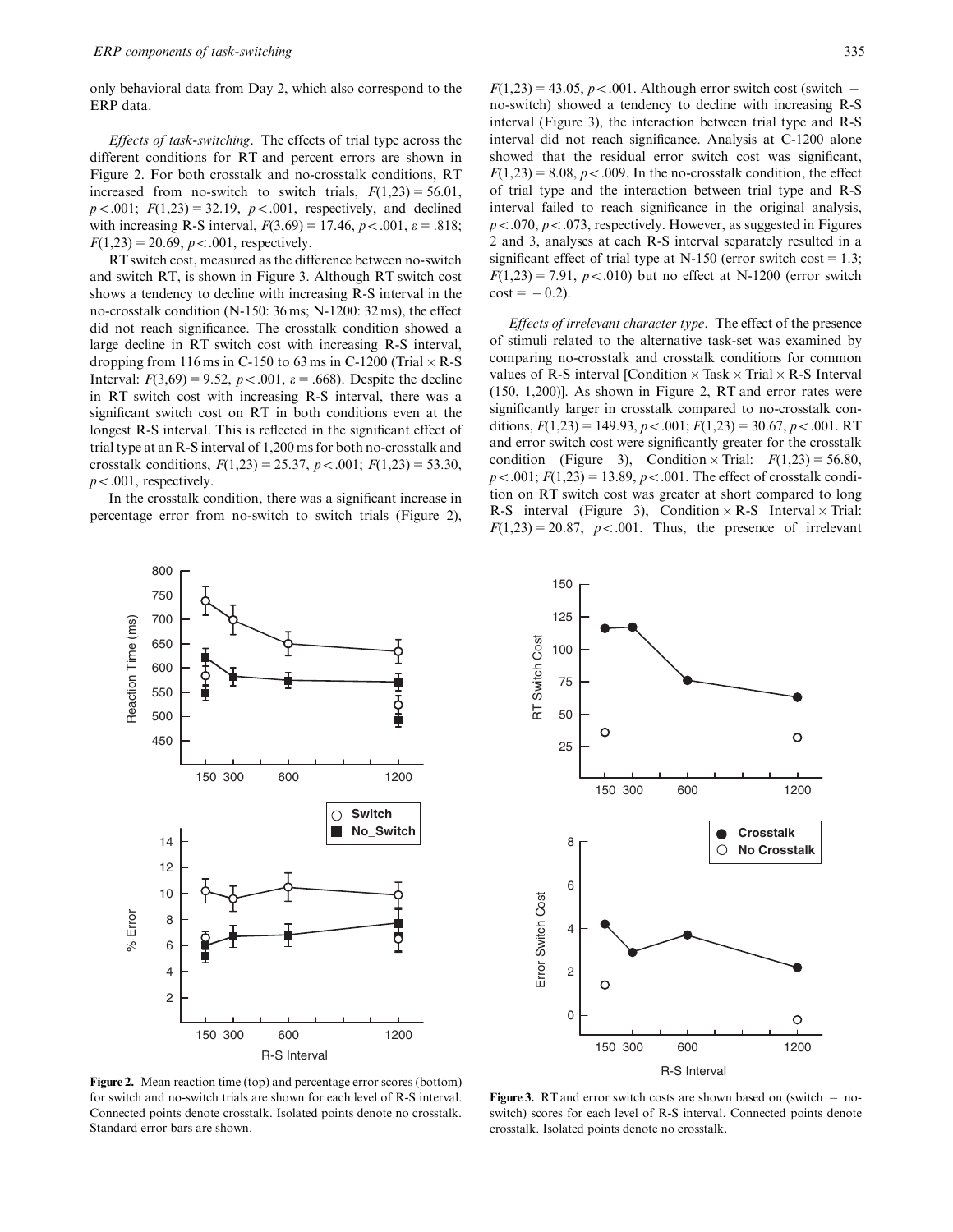only behavioral data from Day 2, which also correspond to the ERP data.

Effects of task-switching. The effects of trial type across the different conditions for RT and percent errors are shown in Figure 2. For both crosstalk and no-crosstalk conditions, RT increased from no-switch to switch trials,  $F(1,23) = 56.01$ ,  $p < .001$ ;  $F(1,23) = 32.19$ ,  $p < .001$ , respectively, and declined with increasing R-S interval,  $F(3,69) = 17.46$ ,  $p < .001$ ,  $\varepsilon = .818$ ;  $F(1,23) = 20.69$ ,  $p < .001$ , respectively.

RT switch cost, measured as the difference between no-switch and switch RT, is shown in Figure 3. Although RT switch cost shows a tendency to decline with increasing R-S interval in the no-crosstalk condition (N-150: 36 ms; N-1200: 32 ms), the effect did not reach significance. The crosstalk condition showed a large decline in RT switch cost with increasing R-S interval, dropping from 116 ms in C-150 to 63 ms in C-1200 (Trial  $\times$  R-S Interval:  $F(3,69) = 9.52$ ,  $p < .001$ ,  $\varepsilon = .668$ ). Despite the decline in RT switch cost with increasing R-S interval, there was a significant switch cost on RT in both conditions even at the longest R-S interval. This is reflected in the significant effect of trial type at an R-S interval of 1,200 ms for both no-crosstalk and crosstalk conditions,  $F(1,23) = 25.37$ ,  $p < .001$ ;  $F(1,23) = 53.30$ ,  $p < .001$ , respectively.

In the crosstalk condition, there was a significant increase in percentage error from no-switch to switch trials (Figure 2),

800

 $F(1,23) = 43.05$ ,  $p < .001$ . Although error switch cost (switch – no-switch) showed a tendency to decline with increasing R-S interval (Figure 3), the interaction between trial type and R-S interval did not reach significance. Analysis at C-1200 alone showed that the residual error switch cost was significant,  $F(1,23) = 8.08$ ,  $p < .009$ . In the no-crosstalk condition, the effect of trial type and the interaction between trial type and R-S interval failed to reach significance in the original analysis,  $p < .070$ ,  $p < .073$ , respectively. However, as suggested in Figures 2 and 3, analyses at each R-S interval separately resulted in a significant effect of trial type at N-150 (error switch cost  $= 1.3$ ;  $F(1,23) = 7.91$ ,  $p < .010$ ) but no effect at N-1200 (error switch  $\text{cost} = -0.2$ .

Effects of irrelevant character type. The effect of the presence of stimuli related to the alternative task-set was examined by comparing no-crosstalk and crosstalk conditions for common values of R-S interval [Condition  $\times$  Task  $\times$  Trial  $\times$  R-S Interval (150, 1,200)]. As shown in Figure 2, RT and error rates were significantly larger in crosstalk compared to no-crosstalk conditions,  $F(1,23) = 149.93$ ,  $p < .001$ ;  $F(1,23) = 30.67$ ,  $p < .001$ . RT and error switch cost were significantly greater for the crosstalk condition (Figure 3), Condition  $\times$  Trial:  $F(1,23) = 56.80$ ,  $p < .001$ ;  $F(1,23) = 13.89$ ,  $p < .001$ . The effect of crosstalk condition on RT switch cost was greater at short compared to long R-S interval (Figure 3), Condition  $\times$  R-S Interval  $\times$  Trial:  $F(1,23) = 20.87$ ,  $p < .001$ . Thus, the presence of irrelevant

150



125 **RT Switch Cost** RT Switch Cost 100 75 50 O  $\circ$ 25 150 300 600 1200 **Crosstalk** 8 **No Crosstalk** O 6 Error Switch Cost Error Switch Cost 4 2  $\circ$ 0  $\Omega$ 150 300 600 1200 R-S Interval

Figure 2. Mean reaction time (top) and percentage error scores (bottom) for switch and no-switch trials are shown for each level of R-S interval. Connected points denote crosstalk. Isolated points denote no crosstalk. Standard error bars are shown.

**Figure 3.** RT and error switch costs are shown based on (switch  $-$  noswitch) scores for each level of R-S interval. Connected points denote crosstalk. Isolated points denote no crosstalk.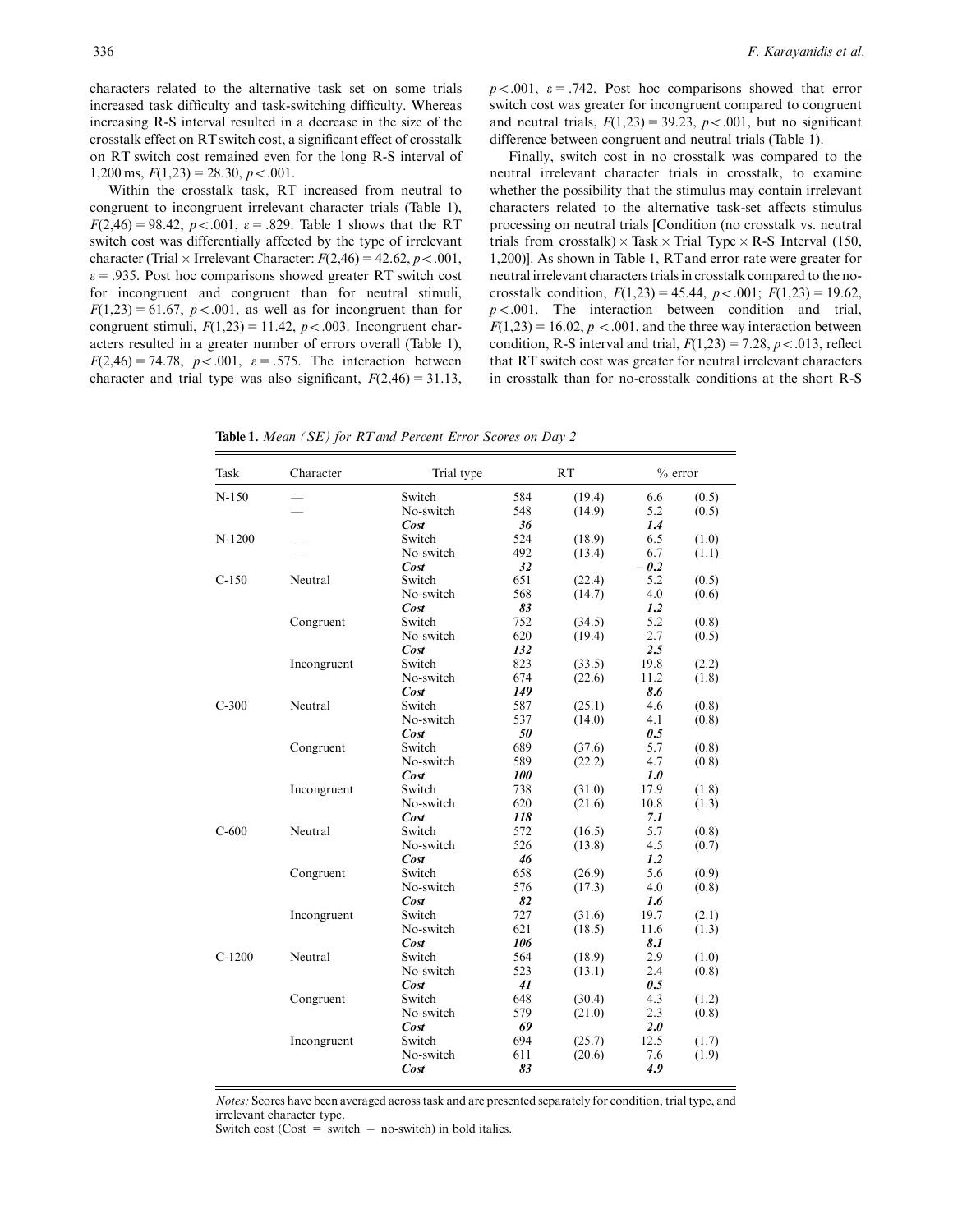characters related to the alternative task set on some trials increased task difficulty and task-switching difficulty. Whereas increasing R-S interval resulted in a decrease in the size of the crosstalk effect on RT switch cost, a significant effect of crosstalk on RT switch cost remained even for the long R-S interval of 1,200 ms,  $F(1,23) = 28.30, p < .001$ .

Within the crosstalk task, RT increased from neutral to congruent to incongruent irrelevant character trials (Table 1),  $F(2,46) = 98.42$ ,  $p < .001$ ,  $\varepsilon = .829$ . Table 1 shows that the RT switch cost was differentially affected by the type of irrelevant character (Trial  $\times$  Irrelevant Character:  $F(2,46) = 42.62, p < .001,$  $\varepsilon$  = .935. Post hoc comparisons showed greater RT switch cost for incongruent and congruent than for neutral stimuli,  $F(1,23) = 61.67$ ,  $p < .001$ , as well as for incongruent than for congruent stimuli,  $F(1,23) = 11.42$ ,  $p < .003$ . Incongruent characters resulted in a greater number of errors overall (Table 1),  $F(2,46) = 74.78$ ,  $p < .001$ ,  $\varepsilon = .575$ . The interaction between character and trial type was also significant,  $F(2,46) = 31.13$ ,  $p < .001$ ,  $\varepsilon = .742$ . Post hoc comparisons showed that error switch cost was greater for incongruent compared to congruent and neutral trials,  $F(1,23) = 39.23$ ,  $p < .001$ , but no significant difference between congruent and neutral trials (Table 1).

Finally, switch cost in no crosstalk was compared to the neutral irrelevant character trials in crosstalk, to examine whether the possibility that the stimulus may contain irrelevant characters related to the alternative task-set affects stimulus processing on neutral trials [Condition (no crosstalk vs. neutral trials from crosstalk)  $\times$  Task  $\times$  Trial Type  $\times$  R-S Interval (150, 1,200)]. As shown in Table 1, RT and error rate were greater for neutral irrelevant characters trials in crosstalk compared to the nocrosstalk condition,  $F(1,23) = 45.44$ ,  $p < .001$ ;  $F(1,23) = 19.62$ ,  $p < .001$ . The interaction between condition and trial,  $F(1,23) = 16.02$ ,  $p < .001$ , and the three way interaction between condition, R-S interval and trial,  $F(1,23) = 7.28$ ,  $p < .013$ , reflect that RT switch cost was greater for neutral irrelevant characters in crosstalk than for no-crosstalk conditions at the short R-S

Table 1. Mean (SE) for RT and Percent Error Scores on Day 2

| Task     | Character   | Trial type |     | <b>RT</b> |        | $%$ error |  |
|----------|-------------|------------|-----|-----------|--------|-----------|--|
| $N-150$  |             | Switch     | 584 | (19.4)    | 6.6    | (0.5)     |  |
|          |             | No-switch  | 548 | (14.9)    | 5.2    | (0.5)     |  |
|          |             | Cost       | 36  |           | 1.4    |           |  |
| $N-1200$ |             | Switch     | 524 | (18.9)    | 6.5    | (1.0)     |  |
|          |             | No-switch  | 492 | (13.4)    | 6.7    | (1.1)     |  |
|          |             | Cost       | 32  |           | $-0.2$ |           |  |
| $C-150$  | Neutral     | Switch     | 651 | (22.4)    | 5.2    | (0.5)     |  |
|          |             | No-switch  | 568 | (14.7)    | 4.0    | (0.6)     |  |
|          |             | Cost       | 83  |           | 1.2    |           |  |
|          | Congruent   | Switch     | 752 | (34.5)    | 5.2    | (0.8)     |  |
|          |             | No-switch  | 620 | (19.4)    | 2.7    | (0.5)     |  |
|          |             | Cost       | 132 |           | 2.5    |           |  |
|          | Incongruent | Switch     | 823 | (33.5)    | 19.8   | (2.2)     |  |
|          |             | No-switch  | 674 | (22.6)    | 11.2   | (1.8)     |  |
|          |             | Cost       | 149 |           | 8.6    |           |  |
| $C-300$  | Neutral     | Switch     | 587 | (25.1)    | 4.6    | (0.8)     |  |
|          |             | No-switch  | 537 | (14.0)    | 4.1    | (0.8)     |  |
|          |             | Cost       | 50  |           | 0.5    |           |  |
|          | Congruent   | Switch     | 689 | (37.6)    | 5.7    | (0.8)     |  |
|          |             | No-switch  | 589 | (22.2)    | 4.7    | (0.8)     |  |
|          |             | Cost       | 100 |           | 1.0    |           |  |
|          | Incongruent | Switch     | 738 | (31.0)    | 17.9   | (1.8)     |  |
|          |             | No-switch  | 620 | (21.6)    | 10.8   | (1.3)     |  |
|          |             | Cost       | 118 |           | 7.1    |           |  |
| $C-600$  | Neutral     | Switch     | 572 | (16.5)    | 5.7    | (0.8)     |  |
|          |             | No-switch  | 526 | (13.8)    | 4.5    | (0.7)     |  |
|          |             | Cost       | 46  |           | 1.2    |           |  |
|          | Congruent   | Switch     | 658 | (26.9)    | 5.6    | (0.9)     |  |
|          |             | No-switch  | 576 | (17.3)    | 4.0    | (0.8)     |  |
|          |             | Cost       | 82  |           | 1.6    |           |  |
|          | Incongruent | Switch     | 727 | (31.6)    | 19.7   | (2.1)     |  |
|          |             | No-switch  | 621 | (18.5)    | 11.6   | (1.3)     |  |
|          |             | Cost       | 106 |           | 8.1    |           |  |
| $C-1200$ | Neutral     | Switch     | 564 | (18.9)    | 2.9    | (1.0)     |  |
|          |             | No-switch  | 523 | (13.1)    | 2.4    | (0.8)     |  |
|          |             | Cost       | 41  |           | 0.5    |           |  |
|          | Congruent   | Switch     | 648 | (30.4)    | 4.3    | (1.2)     |  |
|          |             | No-switch  | 579 | (21.0)    | 2.3    | (0.8)     |  |
|          |             | Cost       | 69  |           | 2.0    |           |  |
|          | Incongruent | Switch     | 694 | (25.7)    | 12.5   | (1.7)     |  |
|          |             | No-switch  | 611 | (20.6)    | 7.6    | (1.9)     |  |
|          |             | Cost       | 83  |           | 4.9    |           |  |

Notes: Scores have been averaged across task and are presented separately for condition, trial type, and irrelevant character type.

Switch cost (Cost = switch  $-$  no-switch) in bold italics.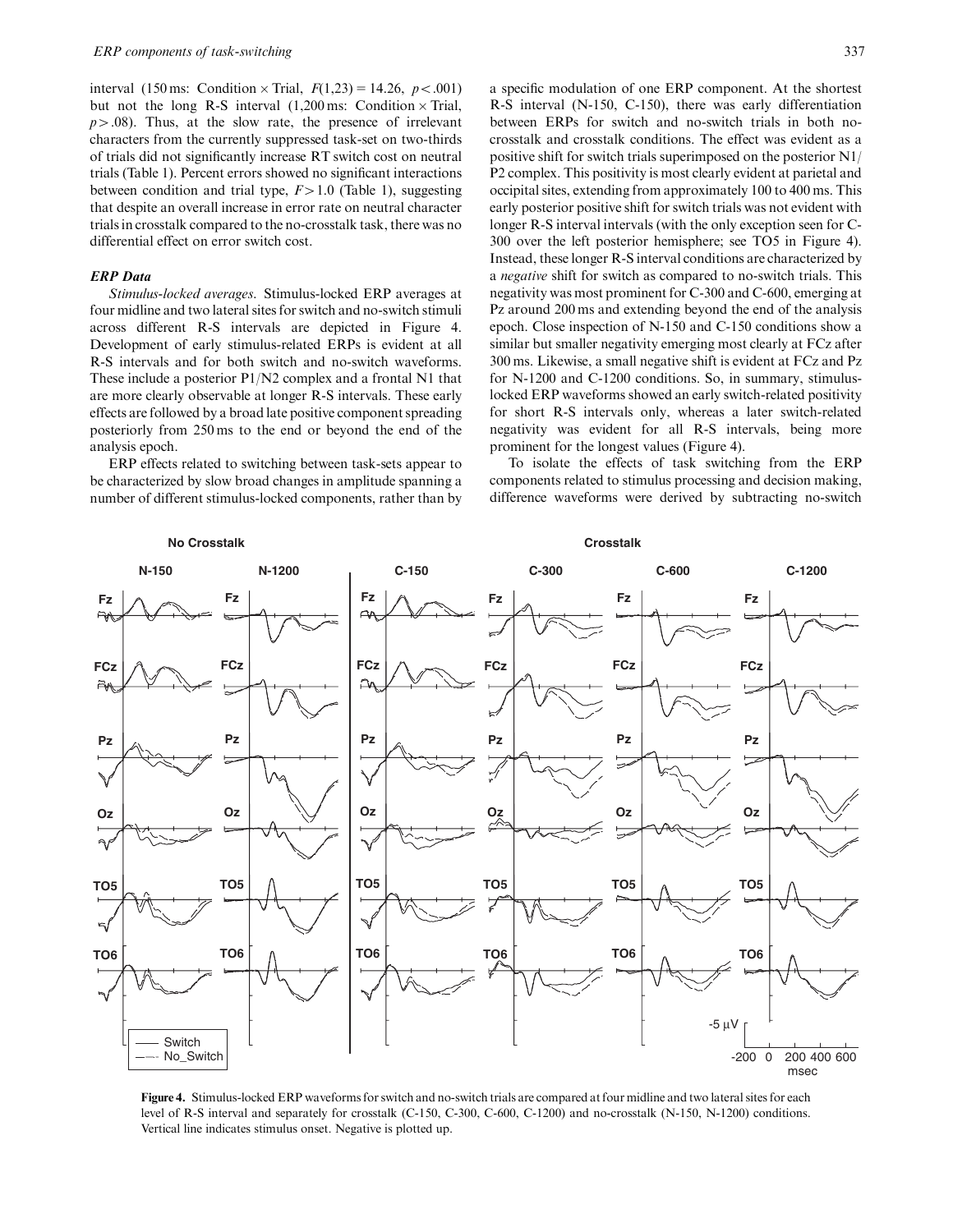interval (150 ms: Condition  $\times$  Trial,  $F(1,23) = 14.26, p < .001$ ) but not the long R-S interval  $(1,200 \text{ ms})$ : Condition  $\times$  Trial,  $p>0.08$ ). Thus, at the slow rate, the presence of irrelevant characters from the currently suppressed task-set on two-thirds of trials did not significantly increase RT switch cost on neutral trials (Table 1). Percent errors showed no significant interactions between condition and trial type,  $F > 1.0$  (Table 1), suggesting that despite an overall increase in error rate on neutral character trials in crosstalk compared to the no-crosstalk task, there was no differential effect on error switch cost.

## ERP Data

Stimulus-locked averages. Stimulus-locked ERP averages at four midline and two lateral sites for switch and no-switch stimuli across different R-S intervals are depicted in Figure 4. Development of early stimulus-related ERPs is evident at all R-S intervals and for both switch and no-switch waveforms. These include a posterior P1/N2 complex and a frontal N1 that are more clearly observable at longer R-S intervals. These early effects are followed by a broad late positive component spreading posteriorly from 250 ms to the end or beyond the end of the analysis epoch.

ERP effects related to switching between task-sets appear to be characterized by slow broad changes in amplitude spanning a number of different stimulus-locked components, rather than by a specific modulation of one ERP component. At the shortest R-S interval (N-150, C-150), there was early differentiation between ERPs for switch and no-switch trials in both nocrosstalk and crosstalk conditions. The effect was evident as a positive shift for switch trials superimposed on the posterior N1/ P2 complex. This positivity is most clearly evident at parietal and occipital sites, extending from approximately 100 to 400 ms. This early posterior positive shift for switch trials was not evident with longer R-S interval intervals (with the only exception seen for C-300 over the left posterior hemisphere; see TO5 in Figure 4). Instead, these longer R-S interval conditions are characterized by a negative shift for switch as compared to no-switch trials. This negativity was most prominent for C-300 and C-600, emerging at Pz around 200 ms and extending beyond the end of the analysis epoch. Close inspection of N-150 and C-150 conditions show a similar but smaller negativity emerging most clearly at FCz after 300 ms. Likewise, a small negative shift is evident at FCz and Pz for N-1200 and C-1200 conditions. So, in summary, stimuluslocked ERP waveforms showed an early switch-related positivity for short R-S intervals only, whereas a later switch-related negativity was evident for all R-S intervals, being more prominent for the longest values (Figure 4).

To isolate the effects of task switching from the ERP components related to stimulus processing and decision making, difference waveforms were derived by subtracting no-switch



Figure 4. Stimulus-locked ERP waveforms for switch and no-switch trials are compared at four midline and two lateral sites for each level of R-S interval and separately for crosstalk (C-150, C-300, C-600, C-1200) and no-crosstalk (N-150, N-1200) conditions. Vertical line indicates stimulus onset. Negative is plotted up.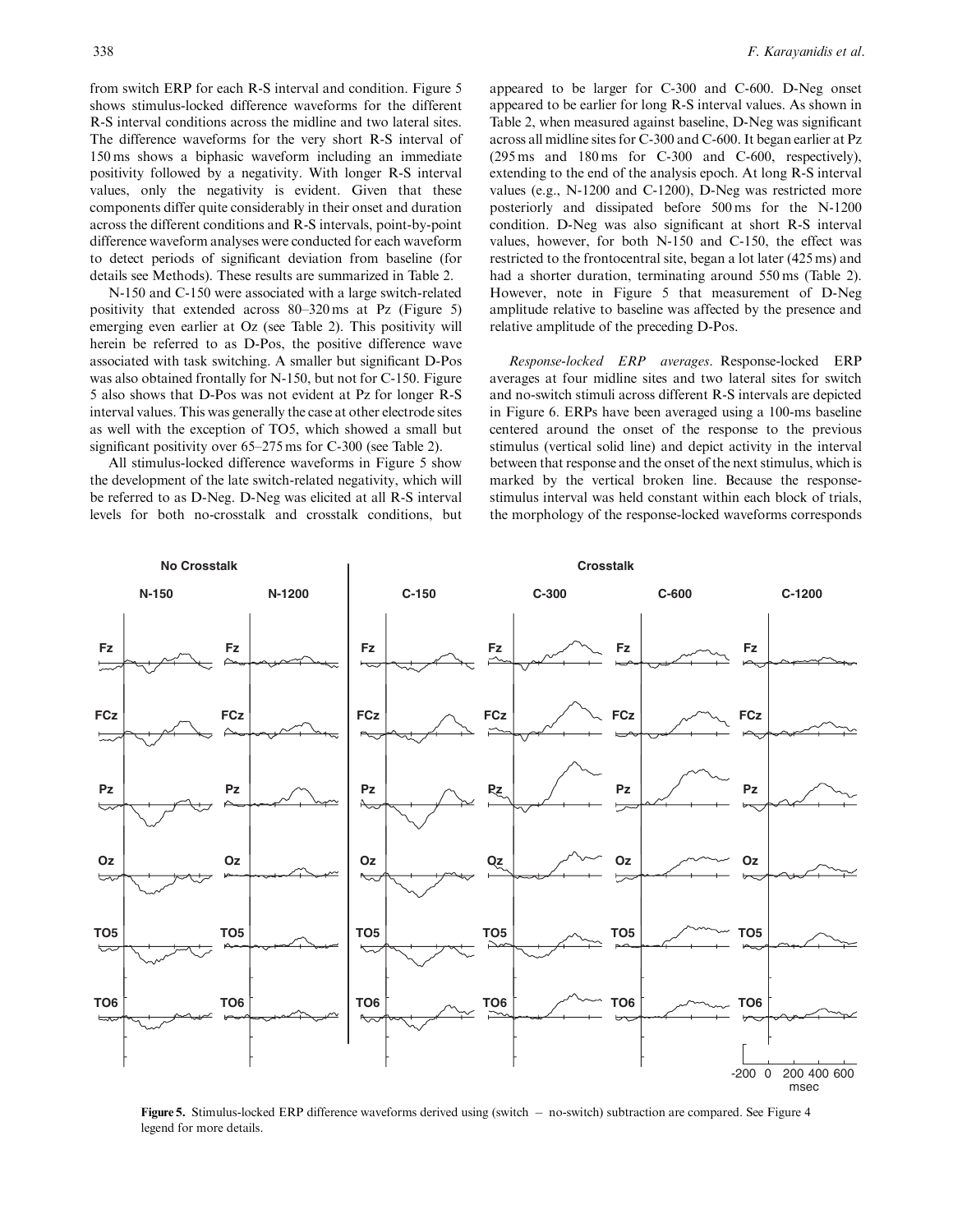from switch ERP for each R-S interval and condition. Figure 5 shows stimulus-locked difference waveforms for the different R-S interval conditions across the midline and two lateral sites. The difference waveforms for the very short R-S interval of 150 ms shows a biphasic waveform including an immediate positivity followed by a negativity. With longer R-S interval values, only the negativity is evident. Given that these components differ quite considerably in their onset and duration across the different conditions and R-S intervals, point-by-point difference waveform analyses were conducted for each waveform to detect periods of significant deviation from baseline (for details see Methods). These results are summarized in Table 2.

N-150 and C-150 were associated with a large switch-related positivity that extended across 80–320 ms at Pz (Figure 5) emerging even earlier at Oz (see Table 2). This positivity will herein be referred to as D-Pos, the positive difference wave associated with task switching. A smaller but significant D-Pos was also obtained frontally for N-150, but not for C-150. Figure 5 also shows that D-Pos was not evident at Pz for longer R-S interval values. This was generally the case at other electrode sites as well with the exception of TO5, which showed a small but significant positivity over 65–275 ms for C-300 (see Table 2).

All stimulus-locked difference waveforms in Figure 5 show the development of the late switch-related negativity, which will be referred to as D-Neg. D-Neg was elicited at all R-S interval levels for both no-crosstalk and crosstalk conditions, but appeared to be larger for C-300 and C-600. D-Neg onset appeared to be earlier for long R-S interval values. As shown in Table 2, when measured against baseline, D-Neg was significant across all midline sites for C-300 and C-600. It began earlier at Pz (295 ms and 180 ms for C-300 and C-600, respectively), extending to the end of the analysis epoch. At long R-S interval values (e.g., N-1200 and C-1200), D-Neg was restricted more posteriorly and dissipated before 500 ms for the N-1200 condition. D-Neg was also significant at short R-S interval values, however, for both N-150 and C-150, the effect was restricted to the frontocentral site, began a lot later (425 ms) and had a shorter duration, terminating around 550 ms (Table 2). However, note in Figure 5 that measurement of D-Neg amplitude relative to baseline was affected by the presence and relative amplitude of the preceding D-Pos.

Response-locked ERP averages. Response-locked ERP averages at four midline sites and two lateral sites for switch and no-switch stimuli across different R-S intervals are depicted in Figure 6. ERPs have been averaged using a 100-ms baseline centered around the onset of the response to the previous stimulus (vertical solid line) and depict activity in the interval between that response and the onset of the next stimulus, which is marked by the vertical broken line. Because the responsestimulus interval was held constant within each block of trials, the morphology of the response-locked waveforms corresponds



Figure 5. Stimulus-locked ERP difference waveforms derived using (switch  $-$  no-switch) subtraction are compared. See Figure 4 legend for more details.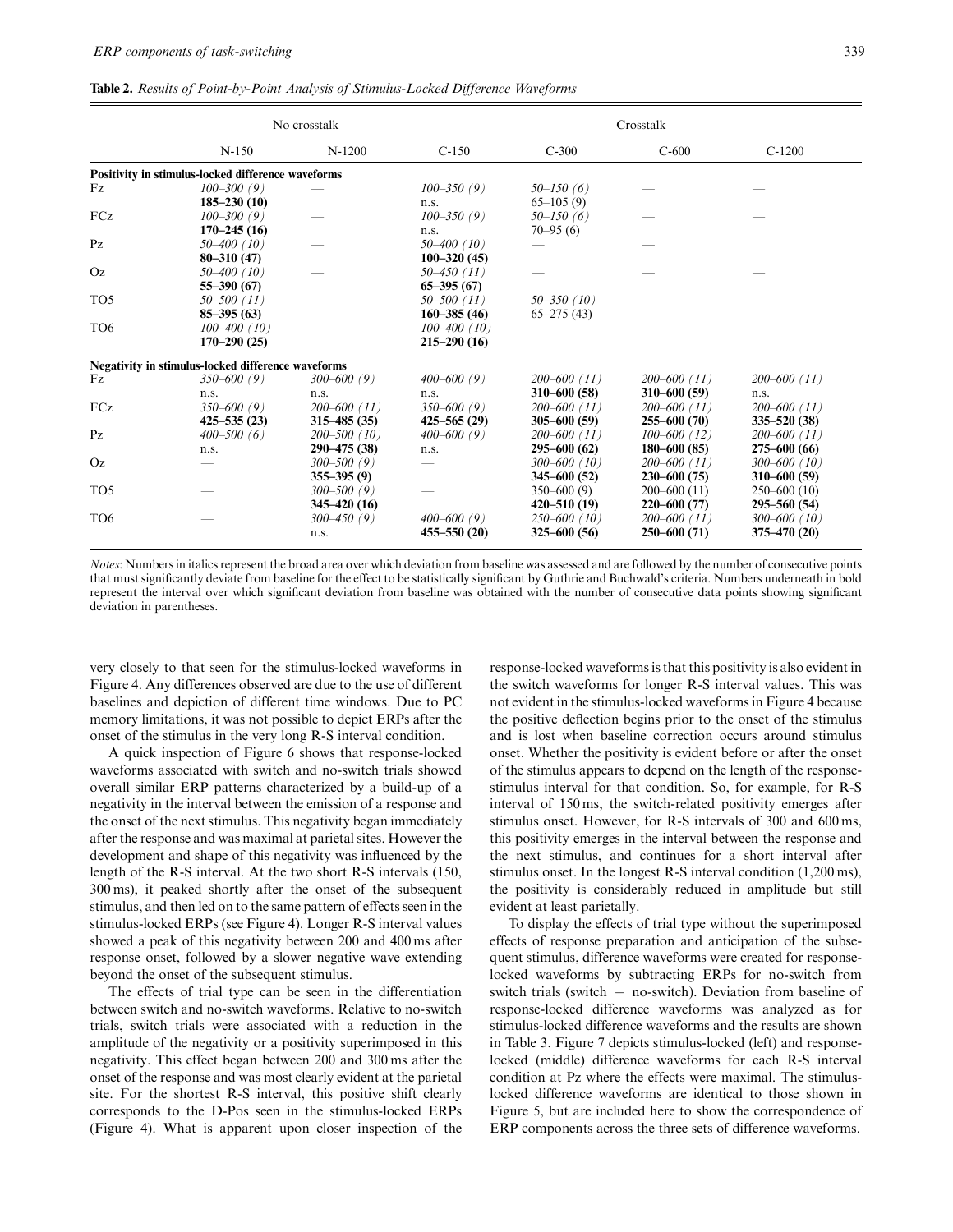Table 2. Results of Point-by-Point Analysis of Stimulus-Locked Difference Waveforms

|                 | No crosstalk                                       |                  | Crosstalk        |                  |                  |                  |
|-----------------|----------------------------------------------------|------------------|------------------|------------------|------------------|------------------|
|                 | $N-150$                                            | $N-1200$         | $C-150$          | $C-300$          | $C-600$          | $C-1200$         |
|                 | Positivity in stimulus-locked difference waveforms |                  |                  |                  |                  |                  |
| Fz              | $100 - 300(9)$                                     |                  | $100 - 350(9)$   | $50 - 150(6)$    |                  |                  |
|                 | $185 - 230(10)$                                    |                  | n.s.             | $65 - 105(9)$    |                  |                  |
| FCz             | $100 - 300(9)$                                     |                  | $100 - 350(9)$   | $50 - 150(6)$    |                  |                  |
|                 | $170 - 245(16)$                                    |                  | n.s.             | $70 - 95(6)$     |                  |                  |
| Pz              | $50 - 400$ (10)                                    |                  | $50 - 400$ (10)  |                  |                  |                  |
|                 | $80 - 310(47)$                                     |                  | $100 - 320(45)$  |                  |                  |                  |
| <b>Oz</b>       | $50 - 400$ (10)                                    |                  | $50 - 450$ (11)  |                  |                  |                  |
|                 | $55 - 390(67)$                                     |                  | $65 - 395(67)$   |                  |                  |                  |
| TO <sub>5</sub> | $50 - 500$ (11)                                    |                  | $50 - 500$ (11)  | $50 - 350$ (10)  |                  |                  |
|                 | $85 - 395(63)$                                     |                  | $160 - 385(46)$  | $65 - 275(43)$   |                  |                  |
| TO <sub>6</sub> | $100 - 400$ (10)                                   |                  | $100 - 400$ (10) |                  |                  |                  |
|                 | $170 - 290(25)$                                    |                  | $215 - 290(16)$  |                  |                  |                  |
|                 | Negativity in stimulus-locked difference waveforms |                  |                  |                  |                  |                  |
| Fz              | $350 - 600(9)$                                     | $300 - 600(9)$   | $400 - 600(9)$   | $200 - 600$ (11) | $200 - 600$ (11) | $200 - 600$ (11) |
|                 | n.s.                                               | n.s.             | n.s.             | $310 - 600(58)$  | $310 - 600(59)$  | n.s.             |
| FCz             | $350 - 600(9)$                                     | $200 - 600$ (11) | $350 - 600(9)$   | $200 - 600$ (11) | $200 - 600$ (11) | $200 - 600$ (11) |
|                 | $425 - 535(23)$                                    | $315 - 485(35)$  | $425 - 565(29)$  | $305 - 600(59)$  | $255 - 600(70)$  | $335 - 520(38)$  |
| Pz              | $400 - 500(6)$                                     | $200 - 500$ (10) | $400 - 600(9)$   | $200 - 600$ (11) | $100 - 600$ (12) | $200 - 600$ (11) |
|                 | n.s.                                               | 290-475 (38)     | n.s.             | $295 - 600(62)$  | $180 - 600(85)$  | $275 - 600(66)$  |
| <b>Oz</b>       |                                                    | $300 - 500(9)$   |                  | $300 - 600$ (10) | $200 - 600$ (11) | $300 - 600$ (10) |
|                 |                                                    | $355 - 395(9)$   |                  | $345 - 600(52)$  | $230 - 600(75)$  | $310 - 600(59)$  |
| TO <sub>5</sub> |                                                    | $300 - 500(9)$   |                  | $350 - 600(9)$   | $200 - 600(11)$  | $250 - 600(10)$  |
|                 |                                                    | $345 - 420(16)$  |                  | 420-510 (19)     | $220 - 600(77)$  | $295 - 560(54)$  |
| TO <sub>6</sub> |                                                    | $300 - 450(9)$   | $400 - 600(9)$   | $250 - 600$ (10) | $200 - 600$ (11) | $300 - 600$ (10) |
|                 |                                                    | n.s.             | $455 - 550(20)$  | $325 - 600(56)$  | $250 - 600(71)$  | $375 - 470(20)$  |

Notes: Numbers in italics represent the broad area over which deviation from baseline was assessed and are followed by the number of consecutive points that must significantly deviate from baseline for the effect to be statistically significant by Guthrie and Buchwald's criteria. Numbers underneath in bold represent the interval over which significant deviation from baseline was obtained with the number of consecutive data points showing significant deviation in parentheses.

very closely to that seen for the stimulus-locked waveforms in Figure 4. Any differences observed are due to the use of different baselines and depiction of different time windows. Due to PC memory limitations, it was not possible to depict ERPs after the onset of the stimulus in the very long R-S interval condition.

A quick inspection of Figure 6 shows that response-locked waveforms associated with switch and no-switch trials showed overall similar ERP patterns characterized by a build-up of a negativity in the interval between the emission of a response and the onset of the next stimulus. This negativity began immediately after the response and was maximal at parietal sites. However the development and shape of this negativity was influenced by the length of the R-S interval. At the two short R-S intervals (150, 300 ms), it peaked shortly after the onset of the subsequent stimulus, and then led on to the same pattern of effects seen in the stimulus-locked ERPs (see Figure 4). Longer R-S interval values showed a peak of this negativity between 200 and 400 ms after response onset, followed by a slower negative wave extending beyond the onset of the subsequent stimulus.

The effects of trial type can be seen in the differentiation between switch and no-switch waveforms. Relative to no-switch trials, switch trials were associated with a reduction in the amplitude of the negativity or a positivity superimposed in this negativity. This effect began between 200 and 300 ms after the onset of the response and was most clearly evident at the parietal site. For the shortest R-S interval, this positive shift clearly corresponds to the D-Pos seen in the stimulus-locked ERPs (Figure 4). What is apparent upon closer inspection of the response-locked waveforms is that this positivity is also evident in the switch waveforms for longer R-S interval values. This was not evident in the stimulus-locked waveforms in Figure 4 because the positive deflection begins prior to the onset of the stimulus and is lost when baseline correction occurs around stimulus onset. Whether the positivity is evident before or after the onset of the stimulus appears to depend on the length of the responsestimulus interval for that condition. So, for example, for R-S interval of 150 ms, the switch-related positivity emerges after stimulus onset. However, for R-S intervals of 300 and 600 ms, this positivity emerges in the interval between the response and the next stimulus, and continues for a short interval after stimulus onset. In the longest R-S interval condition (1,200 ms), the positivity is considerably reduced in amplitude but still evident at least parietally.

To display the effects of trial type without the superimposed effects of response preparation and anticipation of the subsequent stimulus, difference waveforms were created for responselocked waveforms by subtracting ERPs for no-switch from switch trials (switch  $-$  no-switch). Deviation from baseline of response-locked difference waveforms was analyzed as for stimulus-locked difference waveforms and the results are shown in Table 3. Figure 7 depicts stimulus-locked (left) and responselocked (middle) difference waveforms for each R-S interval condition at Pz where the effects were maximal. The stimuluslocked difference waveforms are identical to those shown in Figure 5, but are included here to show the correspondence of ERP components across the three sets of difference waveforms.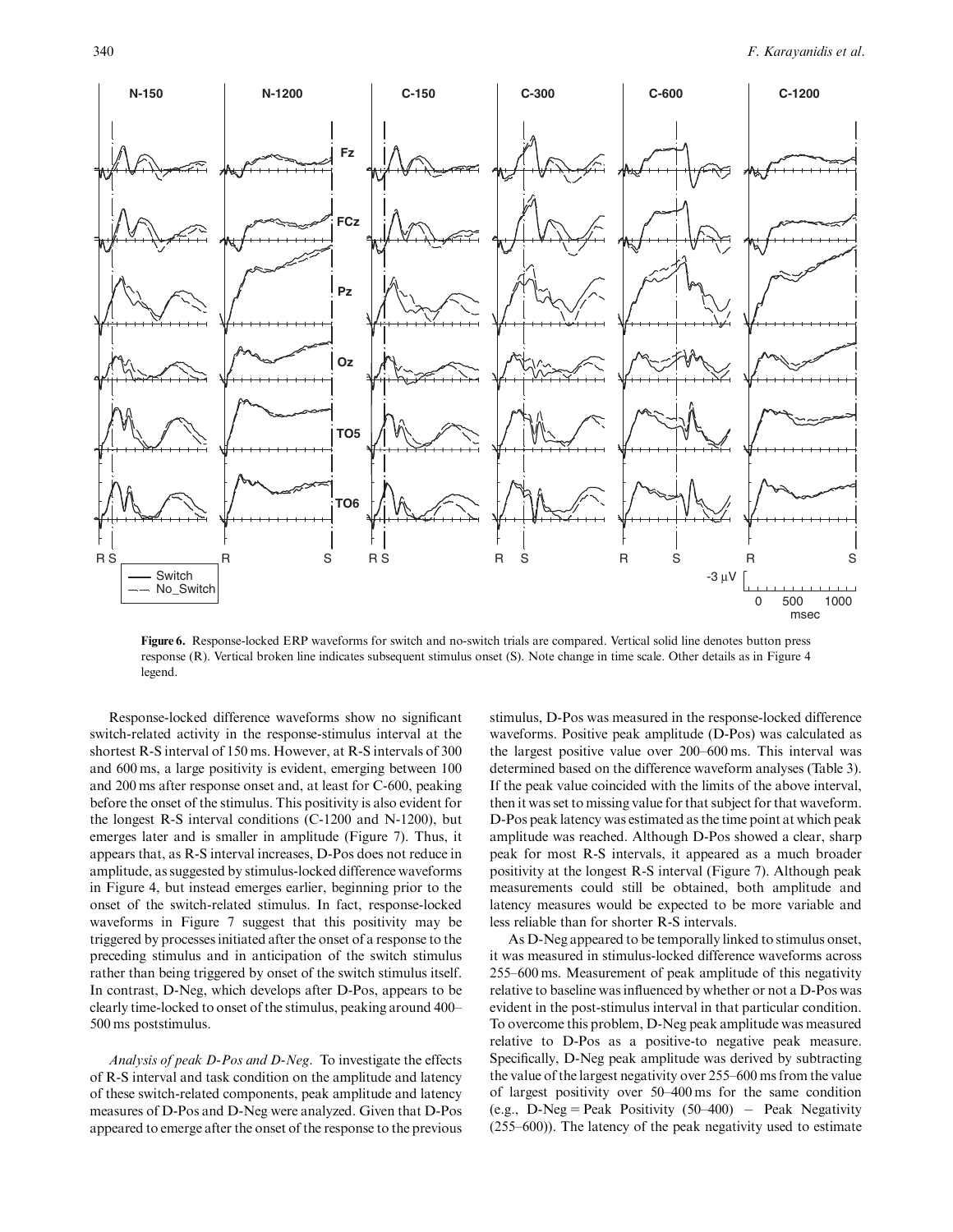

Figure 6. Response-locked ERP waveforms for switch and no-switch trials are compared. Vertical solid line denotes button press response (R). Vertical broken line indicates subsequent stimulus onset (S). Note change in time scale. Other details as in Figure 4 legend.

Response-locked difference waveforms show no significant switch-related activity in the response-stimulus interval at the shortest R-S interval of 150 ms. However, at R-S intervals of 300 and 600 ms, a large positivity is evident, emerging between 100 and 200 ms after response onset and, at least for C-600, peaking before the onset of the stimulus. This positivity is also evident for the longest R-S interval conditions (C-1200 and N-1200), but emerges later and is smaller in amplitude (Figure 7). Thus, it appears that, as R-S interval increases, D-Pos does not reduce in amplitude, as suggested by stimulus-locked difference waveforms in Figure 4, but instead emerges earlier, beginning prior to the onset of the switch-related stimulus. In fact, response-locked waveforms in Figure 7 suggest that this positivity may be triggered by processes initiated after the onset of a response to the preceding stimulus and in anticipation of the switch stimulus rather than being triggered by onset of the switch stimulus itself. In contrast, D-Neg, which develops after D-Pos, appears to be clearly time-locked to onset of the stimulus, peaking around 400– 500 ms poststimulus.

Analysis of peak D-Pos and D-Neg. To investigate the effects of R-S interval and task condition on the amplitude and latency of these switch-related components, peak amplitude and latency measures of D-Pos and D-Neg were analyzed. Given that D-Pos appeared to emerge after the onset of the response to the previous stimulus, D-Pos was measured in the response-locked difference waveforms. Positive peak amplitude (D-Pos) was calculated as the largest positive value over 200–600 ms. This interval was determined based on the difference waveform analyses (Table 3). If the peak value coincided with the limits of the above interval, then it was set to missing value for that subject for that waveform. D-Pos peak latency was estimated as the time point at which peak amplitude was reached. Although D-Pos showed a clear, sharp peak for most R-S intervals, it appeared as a much broader positivity at the longest R-S interval (Figure 7). Although peak measurements could still be obtained, both amplitude and latency measures would be expected to be more variable and less reliable than for shorter R-S intervals.

As D-Neg appeared to be temporally linked to stimulus onset, it was measured in stimulus-locked difference waveforms across 255–600 ms. Measurement of peak amplitude of this negativity relative to baseline was influenced by whether or not a D-Pos was evident in the post-stimulus interval in that particular condition. To overcome this problem, D-Neg peak amplitude was measured relative to D-Pos as a positive-to negative peak measure. Specifically, D-Neg peak amplitude was derived by subtracting the value of the largest negativity over 255–600 ms from the value of largest positivity over 50–400 ms for the same condition (e.g.,  $D-Neg = Peak$  Positivity (50–400) – Peak Negativity (255–600)). The latency of the peak negativity used to estimate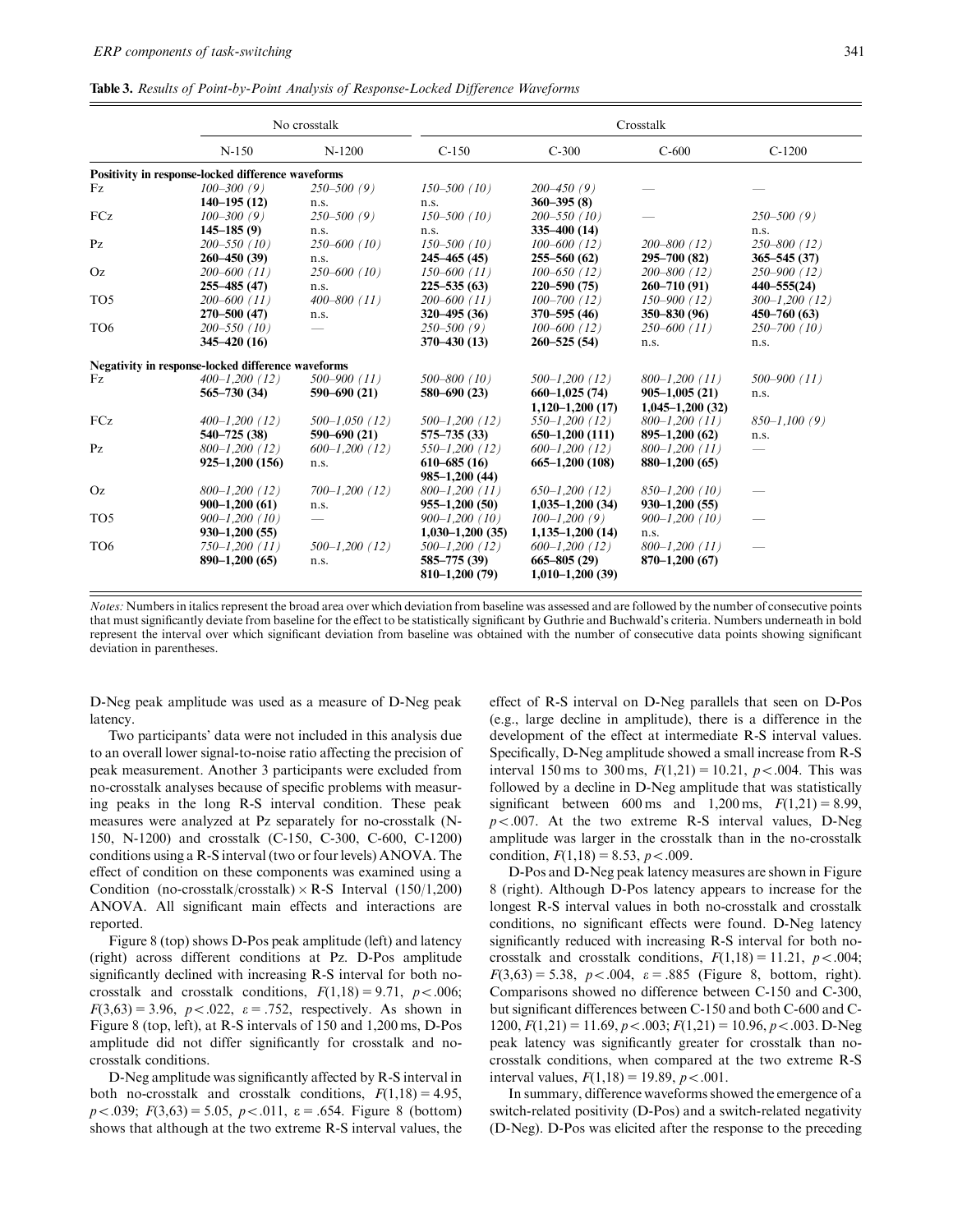Table 3. Results of Point-by-Point Analysis of Response-Locked Difference Waveforms

|                 | No crosstalk                                       |                    | Crosstalk          |                    |                     |                    |  |
|-----------------|----------------------------------------------------|--------------------|--------------------|--------------------|---------------------|--------------------|--|
|                 | $N-150$                                            | $N-1200$           | $C-150$            | $C-300$            | $C-600$             | $C-1200$           |  |
|                 | Positivity in response-locked difference waveforms |                    |                    |                    |                     |                    |  |
| Fz              | $100 - 300(9)$                                     | $250 - 500(9)$     | $150 - 500$ (10)   | $200 - 450(9)$     |                     |                    |  |
|                 | $140 - 195(12)$                                    | n.s.               | n.s.               | $360 - 395(8)$     |                     |                    |  |
| FCz             | $100 - 300(9)$                                     | $250 - 500(9)$     | $150 - 500$ (10)   | $200 - 550$ (10)   |                     | $250 - 500(9)$     |  |
|                 | $145 - 185(9)$                                     | n.s.               | n.s.               | $335 - 400(14)$    |                     | n.s.               |  |
| Pz              | $200 - 550$ (10)                                   | $250 - 600$ (10)   | $150 - 500$ (10)   | $100 - 600$ (12)   | $200 - 800$ (12)    | $250 - 800$ (12)   |  |
|                 | $260 - 450(39)$                                    | n.s.               | $245 - 465(45)$    | $255 - 560(62)$    | $295 - 700(82)$     | $365 - 545(37)$    |  |
| <b>Oz</b>       | $200 - 600$ (11)                                   | $250 - 600$ (10)   | $150 - 600$ (11)   | $100 - 650$ (12)   | $200 - 800$ (12)    | 250-900 (12)       |  |
|                 | $255 - 485(47)$                                    | n.s.               | $225 - 535(63)$    | $220 - 590(75)$    | $260 - 710(91)$     | $440 - 555(24)$    |  |
| TO <sub>5</sub> | $200 - 600$ (11)                                   | $400 - 800$ (11)   | $200 - 600$ (11)   | $100 - 700$ (12)   | $150 - 900$ (12)    | $300 - 1,200$ (12) |  |
|                 | $270 - 500(47)$                                    | n.s.               | 320-495 (36)       | $370 - 595(46)$    | 350-830 (96)        | $450 - 760(63)$    |  |
| TO <sub>6</sub> | $200 - 550$ (10)                                   |                    | $250 - 500(9)$     | $100 - 600$ (12)   | $250 - 600$ (11)    | $250 - 700$ (10)   |  |
|                 | $345 - 420(16)$                                    |                    | $370 - 430(13)$    | $260 - 525(54)$    | n.s.                | n.s.               |  |
|                 | Negativity in response-locked difference waveforms |                    |                    |                    |                     |                    |  |
| Fz              | $400 - 1,200(12)$                                  | $500 - 900$ (11)   | $500 - 800$ (10)   | $500 - 1,200$ (12) | $800 - 1,200(11)$   | $500 - 900$ (11)   |  |
|                 | $565 - 730(34)$                                    | $590 - 690(21)$    | 580-690 (23)       | $660 - 1,025(74)$  | $905 - 1,005(21)$   | n.s.               |  |
|                 |                                                    |                    |                    | $1,120-1,200(17)$  | $1,045 - 1,200(32)$ |                    |  |
| FCz             | $400 - 1,200(12)$                                  | $500 - 1,050(12)$  | $500 - 1,200$ (12) | $550 - 1,200$ (12) | $800 - 1,200(11)$   | $850 - 1,100(9)$   |  |
|                 | 540-725 (38)                                       | $590 - 690(21)$    | $575 - 735(33)$    | $650 - 1,200(111)$ | $895 - 1,200(62)$   | n.s.               |  |
| Pz              | $800 - 1,200(12)$                                  | $600 - 1,200$ (12) | $550 - 1,200$ (12) | $600-1,200(12)$    | $800 - 1,200(11)$   |                    |  |
|                 | $925 - 1,200(156)$                                 | n.s.               | $610 - 685(16)$    | $665 - 1.200(108)$ | $880 - 1,200(65)$   |                    |  |
|                 |                                                    |                    | $985 - 1,200$ (44) |                    |                     |                    |  |
| <b>Oz</b>       | $800 - 1,200(12)$                                  | $700 - 1,200$ (12) | $800 - 1,200(11)$  | $650 - 1,200$ (12) | $850 - 1,200(10)$   |                    |  |
|                 | $900 - 1,200(61)$                                  | n.s.               | $955 - 1,200(50)$  | $1,035-1,200(34)$  | $930 - 1,200(55)$   |                    |  |
| TO <sub>5</sub> | $900 - 1,200(10)$                                  |                    | $900 - 1,200(10)$  | $100 - 1,200(9)$   | $900 - 1,200(10)$   |                    |  |
|                 | $930 - 1,200(55)$                                  |                    | $1,030-1,200(35)$  | $1,135-1,200(14)$  | n.s.                |                    |  |
| TO <sub>6</sub> | $750 - 1,200$ (11)                                 | $500 - 1,200$ (12) | $500 - 1,200$ (12) | $600-1,200(12)$    | $800 - 1,200(11)$   |                    |  |
|                 | $890 - 1,200(65)$                                  | n.s.               | 585–775 (39)       | $665 - 805(29)$    | $870 - 1,200(67)$   |                    |  |
|                 |                                                    |                    | 810-1,200 (79)     | $1,010-1,200(39)$  |                     |                    |  |
|                 |                                                    |                    |                    |                    |                     |                    |  |

Notes: Numbers in italics represent the broad area over which deviation from baseline was assessed and are followed by the number of consecutive points that must significantly deviate from baseline for the effect to be statistically significant by Guthrie and Buchwald's criteria. Numbers underneath in bold represent the interval over which significant deviation from baseline was obtained with the number of consecutive data points showing significant deviation in parentheses.

D-Neg peak amplitude was used as a measure of D-Neg peak latency.

Two participants' data were not included in this analysis due to an overall lower signal-to-noise ratio affecting the precision of peak measurement. Another 3 participants were excluded from no-crosstalk analyses because of specific problems with measuring peaks in the long R-S interval condition. These peak measures were analyzed at Pz separately for no-crosstalk (N-150, N-1200) and crosstalk (C-150, C-300, C-600, C-1200) conditions using a R-S interval (two or four levels) ANOVA. The effect of condition on these components was examined using a Condition (no-crosstalk/crosstalk)  $\times$  R-S Interval (150/1,200) ANOVA. All significant main effects and interactions are reported.

Figure 8 (top) shows D-Pos peak amplitude (left) and latency (right) across different conditions at Pz. D-Pos amplitude significantly declined with increasing R-S interval for both nocrosstalk and crosstalk conditions,  $F(1,18) = 9.71$ ,  $p < .006$ ;  $F(3,63) = 3.96, p < .022, \varepsilon = .752$ , respectively. As shown in Figure 8 (top, left), at R-S intervals of 150 and 1,200 ms, D-Pos amplitude did not differ significantly for crosstalk and nocrosstalk conditions.

D-Neg amplitude was significantly affected by R-S interval in both no-crosstalk and crosstalk conditions,  $F(1,18) = 4.95$ ,  $p < .039$ ;  $F(3,63) = 5.05$ ,  $p < .011$ ,  $\varepsilon = .654$ . Figure 8 (bottom) shows that although at the two extreme R-S interval values, the effect of R-S interval on D-Neg parallels that seen on D-Pos (e.g., large decline in amplitude), there is a difference in the development of the effect at intermediate R-S interval values. Specifically, D-Neg amplitude showed a small increase from R-S interval 150 ms to 300 ms,  $F(1,21) = 10.21$ ,  $p < .004$ . This was followed by a decline in D-Neg amplitude that was statistically significant between  $600 \text{ ms}$  and  $1,200 \text{ ms}$ ,  $F(1,21) = 8.99$ ,  $p < .007$ . At the two extreme R-S interval values, D-Neg amplitude was larger in the crosstalk than in the no-crosstalk condition,  $F(1,18) = 8.53$ ,  $p < .009$ .

D-Pos and D-Neg peak latency measures are shown in Figure 8 (right). Although D-Pos latency appears to increase for the longest R-S interval values in both no-crosstalk and crosstalk conditions, no significant effects were found. D-Neg latency significantly reduced with increasing R-S interval for both nocrosstalk and crosstalk conditions,  $F(1,18) = 11.21$ ,  $p < .004$ ;  $F(3,63) = 5.38$ ,  $p < .004$ ,  $\varepsilon = .885$  (Figure 8, bottom, right). Comparisons showed no difference between C-150 and C-300, but significant differences between C-150 and both C-600 and C- $1200, F(1,21) = 11.69, p < .003; F(1,21) = 10.96, p < .003$ . D-Neg peak latency was significantly greater for crosstalk than nocrosstalk conditions, when compared at the two extreme R-S interval values,  $F(1,18) = 19.89$ ,  $p < .001$ .

In summary, difference waveforms showed the emergence of a switch-related positivity (D-Pos) and a switch-related negativity (D-Neg). D-Pos was elicited after the response to the preceding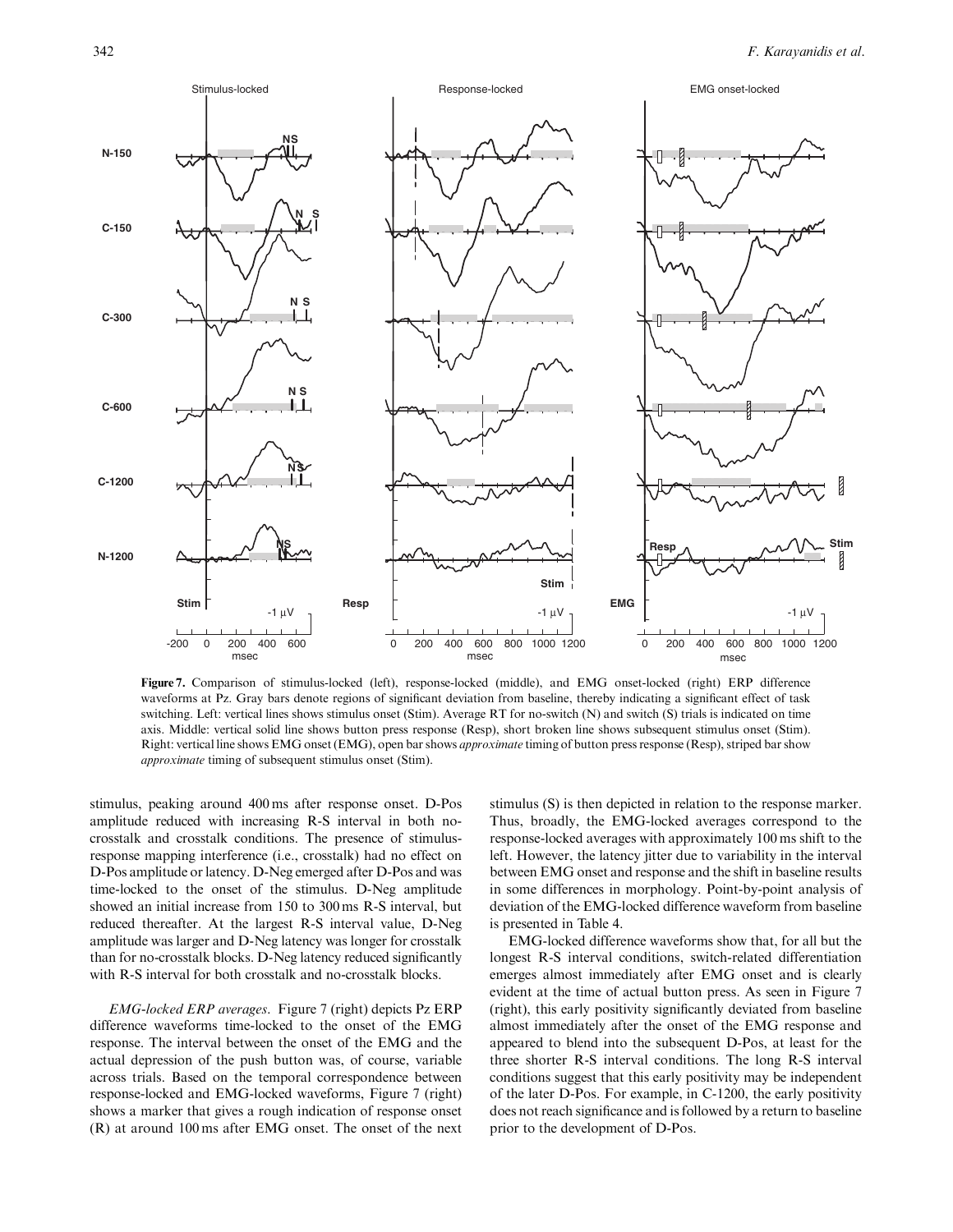

Figure 7. Comparison of stimulus-locked (left), response-locked (middle), and EMG onset-locked (right) ERP difference waveforms at Pz. Gray bars denote regions of significant deviation from baseline, thereby indicating a significant effect of task switching. Left: vertical lines shows stimulus onset (Stim). Average RT for no-switch (N) and switch (S) trials is indicated on time axis. Middle: vertical solid line shows button press response (Resp), short broken line shows subsequent stimulus onset (Stim). Right: vertical line shows EMG onset (EMG), open bar shows approximate timing of button press response (Resp), striped bar show approximate timing of subsequent stimulus onset (Stim).

stimulus, peaking around 400 ms after response onset. D-Pos amplitude reduced with increasing R-S interval in both nocrosstalk and crosstalk conditions. The presence of stimulusresponse mapping interference (i.e., crosstalk) had no effect on D-Pos amplitude or latency. D-Neg emerged after D-Pos and was time-locked to the onset of the stimulus. D-Neg amplitude showed an initial increase from 150 to 300 ms R-S interval, but reduced thereafter. At the largest R-S interval value, D-Neg amplitude was larger and D-Neg latency was longer for crosstalk than for no-crosstalk blocks. D-Neg latency reduced significantly with R-S interval for both crosstalk and no-crosstalk blocks.

EMG-locked ERP averages. Figure 7 (right) depicts Pz ERP difference waveforms time-locked to the onset of the EMG response. The interval between the onset of the EMG and the actual depression of the push button was, of course, variable across trials. Based on the temporal correspondence between response-locked and EMG-locked waveforms, Figure 7 (right) shows a marker that gives a rough indication of response onset (R) at around 100 ms after EMG onset. The onset of the next stimulus (S) is then depicted in relation to the response marker. Thus, broadly, the EMG-locked averages correspond to the response-locked averages with approximately 100 ms shift to the left. However, the latency jitter due to variability in the interval between EMG onset and response and the shift in baseline results in some differences in morphology. Point-by-point analysis of deviation of the EMG-locked difference waveform from baseline is presented in Table 4.

EMG-locked difference waveforms show that, for all but the longest R-S interval conditions, switch-related differentiation emerges almost immediately after EMG onset and is clearly evident at the time of actual button press. As seen in Figure 7 (right), this early positivity significantly deviated from baseline almost immediately after the onset of the EMG response and appeared to blend into the subsequent D-Pos, at least for the three shorter R-S interval conditions. The long R-S interval conditions suggest that this early positivity may be independent of the later D-Pos. For example, in C-1200, the early positivity does not reach significance and is followed by a return to baseline prior to the development of D-Pos.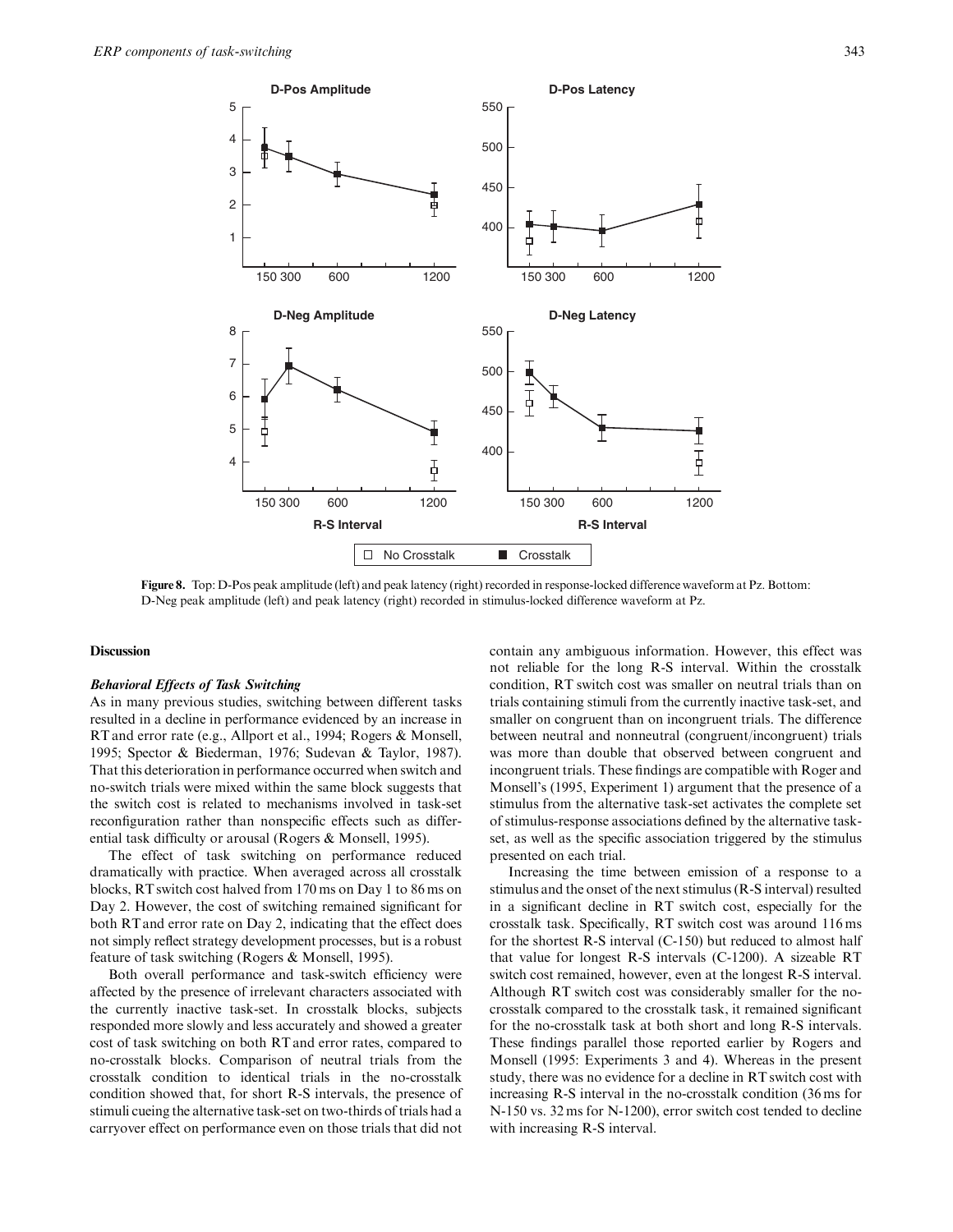

Figure 8. Top: D-Pos peak amplitude (left) and peak latency (right) recorded in response-locked difference waveform at Pz. Bottom: D-Neg peak amplitude (left) and peak latency (right) recorded in stimulus-locked difference waveform at Pz.

#### **Discussion**

#### Behavioral Effects of Task Switching

As in many previous studies, switching between different tasks resulted in a decline in performance evidenced by an increase in RT and error rate (e.g., Allport et al., 1994; Rogers & Monsell, 1995; Spector & Biederman, 1976; Sudevan & Taylor, 1987). That this deterioration in performance occurred when switch and no-switch trials were mixed within the same block suggests that the switch cost is related to mechanisms involved in task-set reconfiguration rather than nonspecific effects such as differential task difficulty or arousal (Rogers & Monsell, 1995).

The effect of task switching on performance reduced dramatically with practice. When averaged across all crosstalk blocks, RT switch cost halved from 170 ms on Day 1 to 86 ms on Day 2. However, the cost of switching remained significant for both RT and error rate on Day 2, indicating that the effect does not simply reflect strategy development processes, but is a robust feature of task switching (Rogers & Monsell, 1995).

Both overall performance and task-switch efficiency were affected by the presence of irrelevant characters associated with the currently inactive task-set. In crosstalk blocks, subjects responded more slowly and less accurately and showed a greater cost of task switching on both RT and error rates, compared to no-crosstalk blocks. Comparison of neutral trials from the crosstalk condition to identical trials in the no-crosstalk condition showed that, for short R-S intervals, the presence of stimuli cueing the alternative task-set on two-thirds of trials had a carryover effect on performance even on those trials that did not contain any ambiguous information. However, this effect was not reliable for the long R-S interval. Within the crosstalk condition, RT switch cost was smaller on neutral trials than on trials containing stimuli from the currently inactive task-set, and smaller on congruent than on incongruent trials. The difference between neutral and nonneutral (congruent/incongruent) trials was more than double that observed between congruent and incongruent trials. These findings are compatible with Roger and Monsell's (1995, Experiment 1) argument that the presence of a stimulus from the alternative task-set activates the complete set of stimulus-response associations defined by the alternative taskset, as well as the specific association triggered by the stimulus presented on each trial.

Increasing the time between emission of a response to a stimulus and the onset of the next stimulus (R-S interval) resulted in a significant decline in RT switch cost, especially for the crosstalk task. Specifically, RT switch cost was around 116 ms for the shortest R-S interval (C-150) but reduced to almost half that value for longest R-S intervals (C-1200). A sizeable RT switch cost remained, however, even at the longest R-S interval. Although RT switch cost was considerably smaller for the nocrosstalk compared to the crosstalk task, it remained significant for the no-crosstalk task at both short and long R-S intervals. These findings parallel those reported earlier by Rogers and Monsell (1995: Experiments 3 and 4). Whereas in the present study, there was no evidence for a decline in RT switch cost with increasing R-S interval in the no-crosstalk condition (36 ms for N-150 vs. 32 ms for N-1200), error switch cost tended to decline with increasing R-S interval.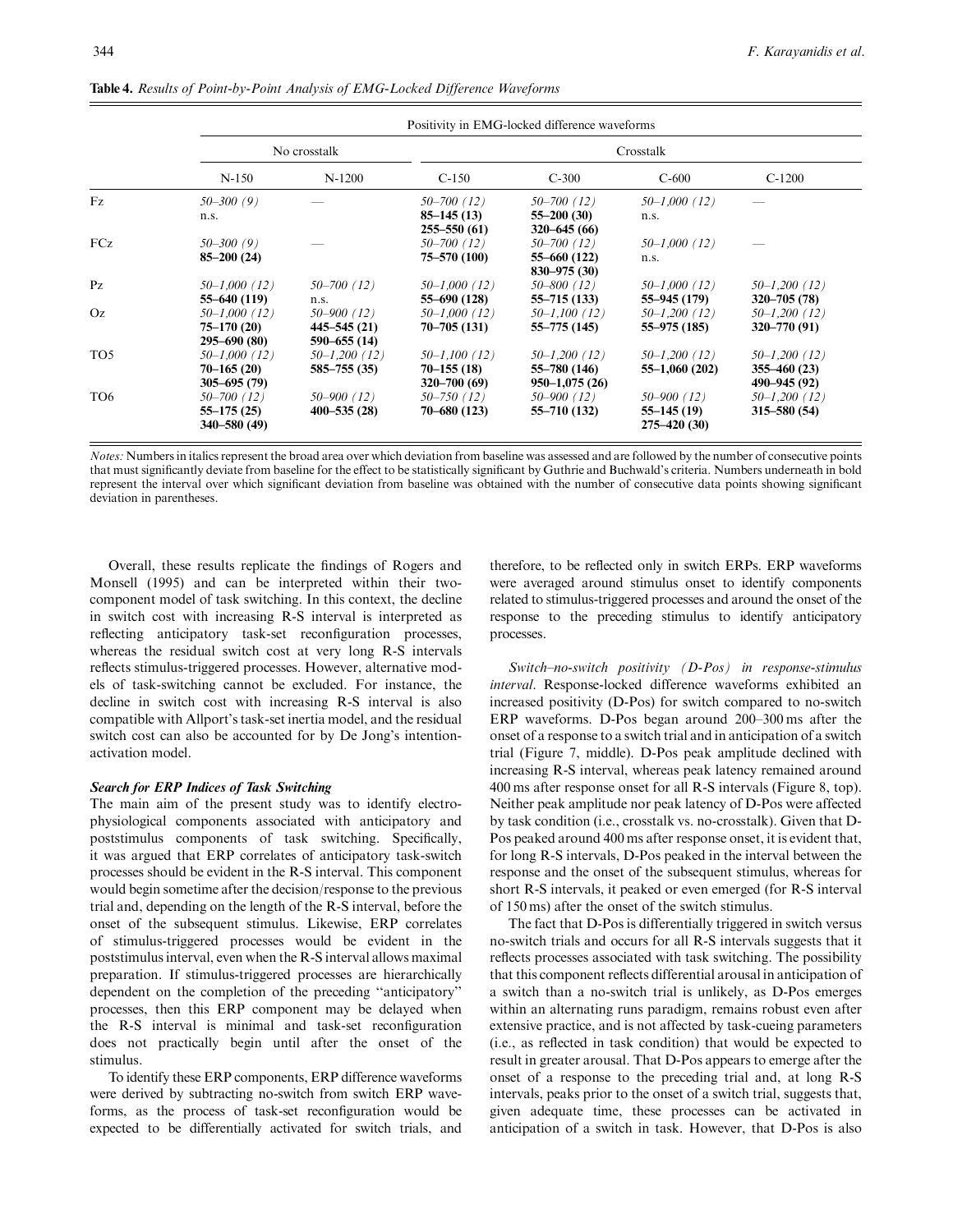|                 | Positivity in EMG-locked difference waveforms |                   |                  |                   |                   |                   |  |
|-----------------|-----------------------------------------------|-------------------|------------------|-------------------|-------------------|-------------------|--|
|                 | No crosstalk                                  |                   | Crosstalk        |                   |                   |                   |  |
|                 | $N-150$                                       | $N-1200$          | $C-150$          | $C-300$           | $C-600$           | $C-1200$          |  |
| Fz              | $50 - 300(9)$                                 |                   | $50 - 700$ (12)  | $50 - 700$ (12)   | $50 - 1,000$ (12) |                   |  |
|                 | n.s.                                          |                   | $85 - 145(13)$   | $55 - 200(30)$    | n.s.              |                   |  |
|                 |                                               |                   | $255 - 550(61)$  | $320 - 645(66)$   |                   |                   |  |
| <b>FCz</b>      | $50 - 300(9)$                                 |                   | $50 - 700$ (12)  | $50 - 700$ (12)   | $50 - 1,000$ (12) |                   |  |
|                 | $85 - 200(24)$                                |                   | 75–570 (100)     | 55–660 (122)      | n.s.              |                   |  |
|                 |                                               |                   |                  | $830 - 975(30)$   |                   |                   |  |
| Pz              | $50 - 1,000$ (12)                             | $50 - 700$ (12)   | $50 - 1,000(12)$ | $50 - 800$ (12)   | $50 - 1,000(12)$  | $50 - 1,200$ (12) |  |
|                 | 55–640 (119)                                  | n.s.              | 55–690 (128)     | $55 - 715(133)$   | 55–945 (179)      | $320 - 705(78)$   |  |
| <b>Oz</b>       | $50 - 1,000$ (12)                             | $50 - 900$ (12)   | $50 - 1,000(12)$ | $50 - 1,100(12)$  | $50 - 1,200$ (12) | $50 - 1,200$ (12) |  |
|                 | $75 - 170(20)$                                | $445 - 545(21)$   | $70 - 705(131)$  | 55–775 (145)      | 55–975 (185)      | $320 - 770(91)$   |  |
|                 | $295 - 690(80)$                               | $590 - 655(14)$   |                  |                   |                   |                   |  |
| TO <sub>5</sub> | $50 - 1,000$ (12)                             | $50 - 1,200$ (12) | $50 - 1,100(12)$ | $50 - 1,200$ (12) | $50 - 1,200$ (12) | $50 - 1,200$ (12) |  |
|                 | $70 - 165(20)$                                | $585 - 755(35)$   | $70 - 155(18)$   | 55–780 (146)      | $55 - 1,060(202)$ | $355 - 460(23)$   |  |
|                 | 305–695 (79)                                  |                   | $320 - 700(69)$  | $950 - 1,075(26)$ |                   | 490-945 (92)      |  |
| TO <sub>6</sub> | $50 - 700$ (12)                               | $50 - 900$ (12)   | $50 - 750$ (12)  | $50 - 900$ (12)   | $50 - 900$ (12)   | $50 - 1,200$ (12) |  |
|                 | $55 - 175(25)$                                | $400 - 535(28)$   | $70 - 680(123)$  | 55-710 (132)      | $55-145(19)$      | $315 - 580(54)$   |  |
|                 | 340-580 (49)                                  |                   |                  |                   | $275 - 420(30)$   |                   |  |
|                 |                                               |                   |                  |                   |                   |                   |  |

Table 4. Results of Point-by-Point Analysis of EMG-Locked Difference Waveforms

Notes: Numbers in italics represent the broad area over which deviation from baseline was assessed and are followed by the number of consecutive points that must significantly deviate from baseline for the effect to be statistically significant by Guthrie and Buchwald's criteria. Numbers underneath in bold represent the interval over which significant deviation from baseline was obtained with the number of consecutive data points showing significant deviation in parentheses.

Overall, these results replicate the findings of Rogers and Monsell (1995) and can be interpreted within their twocomponent model of task switching. In this context, the decline in switch cost with increasing R-S interval is interpreted as reflecting anticipatory task-set reconfiguration processes, whereas the residual switch cost at very long R-S intervals reflects stimulus-triggered processes. However, alternative models of task-switching cannot be excluded. For instance, the decline in switch cost with increasing R-S interval is also compatible with Allport's task-set inertia model, and the residual switch cost can also be accounted for by De Jong's intentionactivation model.

## Search for ERP Indices of Task Switching

The main aim of the present study was to identify electrophysiological components associated with anticipatory and poststimulus components of task switching. Specifically, it was argued that ERP correlates of anticipatory task-switch processes should be evident in the R-S interval. This component would begin sometime after the decision/response to the previous trial and, depending on the length of the R-S interval, before the onset of the subsequent stimulus. Likewise, ERP correlates of stimulus-triggered processes would be evident in the poststimulus interval, even when the R-S interval allows maximal preparation. If stimulus-triggered processes are hierarchically dependent on the completion of the preceding ''anticipatory'' processes, then this ERP component may be delayed when the R-S interval is minimal and task-set reconfiguration does not practically begin until after the onset of the stimulus.

To identify these ERP components, ERP difference waveforms were derived by subtracting no-switch from switch ERP waveforms, as the process of task-set reconfiguration would be expected to be differentially activated for switch trials, and therefore, to be reflected only in switch ERPs. ERP waveforms were averaged around stimulus onset to identify components related to stimulus-triggered processes and around the onset of the response to the preceding stimulus to identify anticipatory processes.

Switch–no-switch positivity (D-Pos) in response-stimulus interval. Response-locked difference waveforms exhibited an increased positivity (D-Pos) for switch compared to no-switch ERP waveforms. D-Pos began around 200–300 ms after the onset of a response to a switch trial and in anticipation of a switch trial (Figure 7, middle). D-Pos peak amplitude declined with increasing R-S interval, whereas peak latency remained around 400 ms after response onset for all R-S intervals (Figure 8, top). Neither peak amplitude nor peak latency of D-Pos were affected by task condition (i.e., crosstalk vs. no-crosstalk). Given that D-Pos peaked around 400 ms after response onset, it is evident that, for long R-S intervals, D-Pos peaked in the interval between the response and the onset of the subsequent stimulus, whereas for short R-S intervals, it peaked or even emerged (for R-S interval of 150 ms) after the onset of the switch stimulus.

The fact that D-Pos is differentially triggered in switch versus no-switch trials and occurs for all R-S intervals suggests that it reflects processes associated with task switching. The possibility that this component reflects differential arousal in anticipation of a switch than a no-switch trial is unlikely, as D-Pos emerges within an alternating runs paradigm, remains robust even after extensive practice, and is not affected by task-cueing parameters (i.e., as reflected in task condition) that would be expected to result in greater arousal. That D-Pos appears to emerge after the onset of a response to the preceding trial and, at long R-S intervals, peaks prior to the onset of a switch trial, suggests that, given adequate time, these processes can be activated in anticipation of a switch in task. However, that D-Pos is also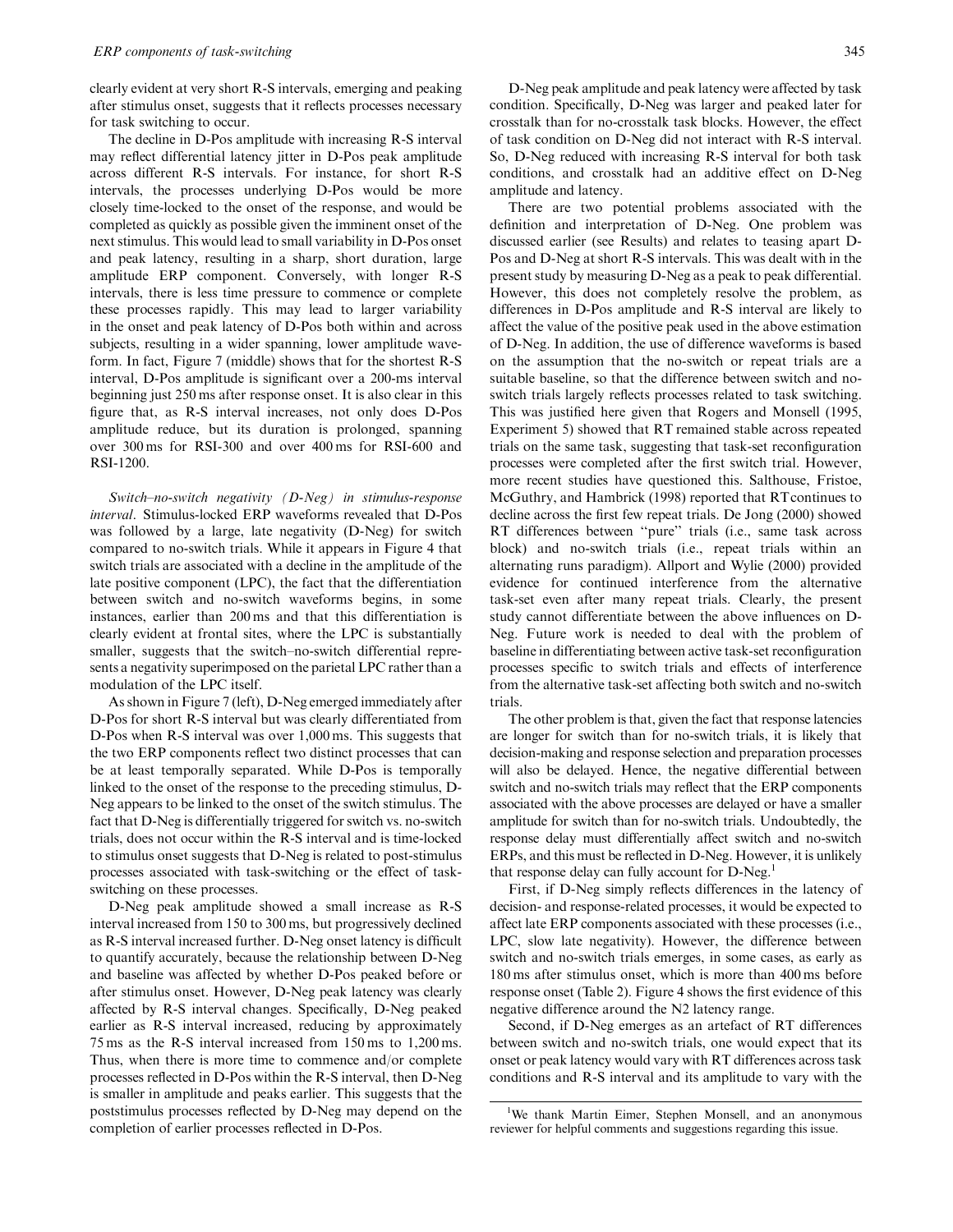clearly evident at very short R-S intervals, emerging and peaking after stimulus onset, suggests that it reflects processes necessary for task switching to occur.

The decline in D-Pos amplitude with increasing R-S interval may reflect differential latency jitter in D-Pos peak amplitude across different R-S intervals. For instance, for short R-S intervals, the processes underlying D-Pos would be more closely time-locked to the onset of the response, and would be completed as quickly as possible given the imminent onset of the next stimulus. This would lead to small variability in D-Pos onset and peak latency, resulting in a sharp, short duration, large amplitude ERP component. Conversely, with longer R-S intervals, there is less time pressure to commence or complete these processes rapidly. This may lead to larger variability in the onset and peak latency of D-Pos both within and across subjects, resulting in a wider spanning, lower amplitude waveform. In fact, Figure 7 (middle) shows that for the shortest R-S interval, D-Pos amplitude is significant over a 200-ms interval beginning just 250 ms after response onset. It is also clear in this figure that, as R-S interval increases, not only does D-Pos amplitude reduce, but its duration is prolonged, spanning over 300 ms for RSI-300 and over 400 ms for RSI-600 and RSI-1200.

Switch–no-switch negativity (D-Neg) in stimulus-response interval. Stimulus-locked ERP waveforms revealed that D-Pos was followed by a large, late negativity (D-Neg) for switch compared to no-switch trials. While it appears in Figure 4 that switch trials are associated with a decline in the amplitude of the late positive component (LPC), the fact that the differentiation between switch and no-switch waveforms begins, in some instances, earlier than 200 ms and that this differentiation is clearly evident at frontal sites, where the LPC is substantially smaller, suggests that the switch–no-switch differential represents a negativity superimposed on the parietal LPC rather than a modulation of the LPC itself.

As shown in Figure 7 (left), D-Neg emerged immediately after D-Pos for short R-S interval but was clearly differentiated from D-Pos when R-S interval was over 1,000 ms. This suggests that the two ERP components reflect two distinct processes that can be at least temporally separated. While D-Pos is temporally linked to the onset of the response to the preceding stimulus, D-Neg appears to be linked to the onset of the switch stimulus. The fact that D-Neg is differentially triggered for switch vs. no-switch trials, does not occur within the R-S interval and is time-locked to stimulus onset suggests that D-Neg is related to post-stimulus processes associated with task-switching or the effect of taskswitching on these processes.

D-Neg peak amplitude showed a small increase as R-S interval increased from 150 to 300 ms, but progressively declined as R-S interval increased further. D-Neg onset latency is difficult to quantify accurately, because the relationship between D-Neg and baseline was affected by whether D-Pos peaked before or after stimulus onset. However, D-Neg peak latency was clearly affected by R-S interval changes. Specifically, D-Neg peaked earlier as R-S interval increased, reducing by approximately 75 ms as the R-S interval increased from 150 ms to 1,200 ms. Thus, when there is more time to commence and/or complete processes reflected in D-Pos within the R-S interval, then D-Neg is smaller in amplitude and peaks earlier. This suggests that the poststimulus processes reflected by D-Neg may depend on the completion of earlier processes reflected in D-Pos.

D-Neg peak amplitude and peak latency were affected by task condition. Specifically, D-Neg was larger and peaked later for crosstalk than for no-crosstalk task blocks. However, the effect of task condition on D-Neg did not interact with R-S interval. So, D-Neg reduced with increasing R-S interval for both task conditions, and crosstalk had an additive effect on D-Neg amplitude and latency.

There are two potential problems associated with the definition and interpretation of D-Neg. One problem was discussed earlier (see Results) and relates to teasing apart D-Pos and D-Neg at short R-S intervals. This was dealt with in the present study by measuring D-Neg as a peak to peak differential. However, this does not completely resolve the problem, as differences in D-Pos amplitude and R-S interval are likely to affect the value of the positive peak used in the above estimation of D-Neg. In addition, the use of difference waveforms is based on the assumption that the no-switch or repeat trials are a suitable baseline, so that the difference between switch and noswitch trials largely reflects processes related to task switching. This was justified here given that Rogers and Monsell (1995, Experiment 5) showed that RT remained stable across repeated trials on the same task, suggesting that task-set reconfiguration processes were completed after the first switch trial. However, more recent studies have questioned this. Salthouse, Fristoe, McGuthry, and Hambrick (1998) reported that RT continues to decline across the first few repeat trials. De Jong (2000) showed RT differences between ''pure'' trials (i.e., same task across block) and no-switch trials (i.e., repeat trials within an alternating runs paradigm). Allport and Wylie (2000) provided evidence for continued interference from the alternative task-set even after many repeat trials. Clearly, the present study cannot differentiate between the above influences on D-Neg. Future work is needed to deal with the problem of baseline in differentiating between active task-set reconfiguration processes specific to switch trials and effects of interference from the alternative task-set affecting both switch and no-switch trials.

The other problem is that, given the fact that response latencies are longer for switch than for no-switch trials, it is likely that decision-making and response selection and preparation processes will also be delayed. Hence, the negative differential between switch and no-switch trials may reflect that the ERP components associated with the above processes are delayed or have a smaller amplitude for switch than for no-switch trials. Undoubtedly, the response delay must differentially affect switch and no-switch ERPs, and this must be reflected in D-Neg. However, it is unlikely that response delay can fully account for  $D-Neg.$ <sup>1</sup>

First, if D-Neg simply reflects differences in the latency of decision- and response-related processes, it would be expected to affect late ERP components associated with these processes (i.e., LPC, slow late negativity). However, the difference between switch and no-switch trials emerges, in some cases, as early as 180 ms after stimulus onset, which is more than 400 ms before response onset (Table 2). Figure 4 shows the first evidence of this negative difference around the N2 latency range.

Second, if D-Neg emerges as an artefact of RT differences between switch and no-switch trials, one would expect that its onset or peak latency would vary with RT differences across task conditions and R-S interval and its amplitude to vary with the

<sup>&</sup>lt;sup>1</sup>We thank Martin Eimer, Stephen Monsell, and an anonymous reviewer for helpful comments and suggestions regarding this issue.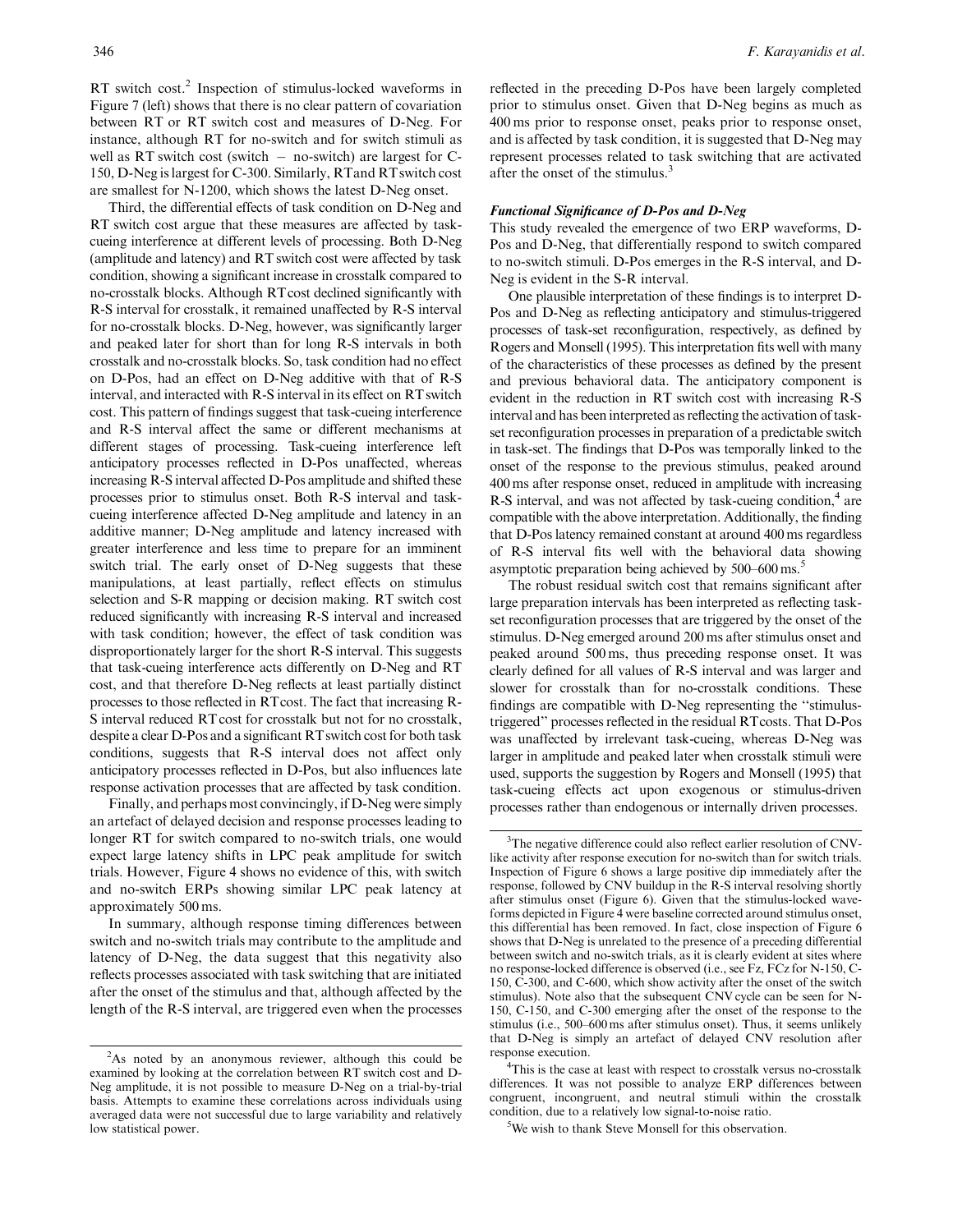RT switch cost.<sup>2</sup> Inspection of stimulus-locked waveforms in Figure 7 (left) shows that there is no clear pattern of covariation between RT or RT switch cost and measures of D-Neg. For instance, although RT for no-switch and for switch stimuli as well as RT switch cost (switch  $-$  no-switch) are largest for C-150, D-Neg is largest for C-300. Similarly, RTand RTswitch cost are smallest for N-1200, which shows the latest D-Neg onset.

Third, the differential effects of task condition on D-Neg and RT switch cost argue that these measures are affected by taskcueing interference at different levels of processing. Both D-Neg (amplitude and latency) and RT switch cost were affected by task condition, showing a significant increase in crosstalk compared to no-crosstalk blocks. Although RTcost declined significantly with R-S interval for crosstalk, it remained unaffected by R-S interval for no-crosstalk blocks. D-Neg, however, was significantly larger and peaked later for short than for long R-S intervals in both crosstalk and no-crosstalk blocks. So, task condition had no effect on D-Pos, had an effect on D-Neg additive with that of R-S interval, and interacted with R-S interval in its effect on RT switch cost. This pattern of findings suggest that task-cueing interference and R-S interval affect the same or different mechanisms at different stages of processing. Task-cueing interference left anticipatory processes reflected in D-Pos unaffected, whereas increasing R-S interval affected D-Pos amplitude and shifted these processes prior to stimulus onset. Both R-S interval and taskcueing interference affected D-Neg amplitude and latency in an additive manner; D-Neg amplitude and latency increased with greater interference and less time to prepare for an imminent switch trial. The early onset of D-Neg suggests that these manipulations, at least partially, reflect effects on stimulus selection and S-R mapping or decision making. RT switch cost reduced significantly with increasing R-S interval and increased with task condition; however, the effect of task condition was disproportionately larger for the short R-S interval. This suggests that task-cueing interference acts differently on D-Neg and RT cost, and that therefore D-Neg reflects at least partially distinct processes to those reflected in RTcost. The fact that increasing R-S interval reduced RT cost for crosstalk but not for no crosstalk, despite a clear D-Pos and a significant RT switch cost for both task conditions, suggests that R-S interval does not affect only anticipatory processes reflected in D-Pos, but also influences late response activation processes that are affected by task condition.

Finally, and perhaps most convincingly, if D-Neg were simply an artefact of delayed decision and response processes leading to longer RT for switch compared to no-switch trials, one would expect large latency shifts in LPC peak amplitude for switch trials. However, Figure 4 shows no evidence of this, with switch and no-switch ERPs showing similar LPC peak latency at approximately 500 ms.

In summary, although response timing differences between switch and no-switch trials may contribute to the amplitude and latency of D-Neg, the data suggest that this negativity also reflects processes associated with task switching that are initiated after the onset of the stimulus and that, although affected by the length of the R-S interval, are triggered even when the processes reflected in the preceding D-Pos have been largely completed prior to stimulus onset. Given that D-Neg begins as much as 400 ms prior to response onset, peaks prior to response onset, and is affected by task condition, it is suggested that D-Neg may represent processes related to task switching that are activated after the onset of the stimulus.<sup>3</sup>

## Functional Significance of D-Pos and D-Neg

This study revealed the emergence of two ERP waveforms, D-Pos and D-Neg, that differentially respond to switch compared to no-switch stimuli. D-Pos emerges in the R-S interval, and D-Neg is evident in the S-R interval.

One plausible interpretation of these findings is to interpret D-Pos and D-Neg as reflecting anticipatory and stimulus-triggered processes of task-set reconfiguration, respectively, as defined by Rogers and Monsell (1995). This interpretation fits well with many of the characteristics of these processes as defined by the present and previous behavioral data. The anticipatory component is evident in the reduction in RT switch cost with increasing R-S interval and has been interpreted as reflecting the activation of taskset reconfiguration processes in preparation of a predictable switch in task-set. The findings that D-Pos was temporally linked to the onset of the response to the previous stimulus, peaked around 400 ms after response onset, reduced in amplitude with increasing R-S interval, and was not affected by task-cueing condition,<sup>4</sup> are compatible with the above interpretation. Additionally, the finding that D-Pos latency remained constant at around 400 ms regardless of R-S interval fits well with the behavioral data showing asymptotic preparation being achieved by 500–600 ms.<sup>5</sup>

The robust residual switch cost that remains significant after large preparation intervals has been interpreted as reflecting taskset reconfiguration processes that are triggered by the onset of the stimulus. D-Neg emerged around 200 ms after stimulus onset and peaked around 500 ms, thus preceding response onset. It was clearly defined for all values of R-S interval and was larger and slower for crosstalk than for no-crosstalk conditions. These findings are compatible with D-Neg representing the ''stimulustriggered'' processes reflected in the residual RTcosts. That D-Pos was unaffected by irrelevant task-cueing, whereas D-Neg was larger in amplitude and peaked later when crosstalk stimuli were used, supports the suggestion by Rogers and Monsell (1995) that task-cueing effects act upon exogenous or stimulus-driven processes rather than endogenous or internally driven processes.

5 We wish to thank Steve Monsell for this observation.

<sup>&</sup>lt;sup>2</sup>As noted by an anonymous reviewer, although this could be examined by looking at the correlation between RT switch cost and D-Neg amplitude, it is not possible to measure D-Neg on a trial-by-trial basis. Attempts to examine these correlations across individuals using averaged data were not successful due to large variability and relatively low statistical power.

<sup>&</sup>lt;sup>3</sup>The negative difference could also reflect earlier resolution of CNVlike activity after response execution for no-switch than for switch trials. Inspection of Figure 6 shows a large positive dip immediately after the response, followed by CNV buildup in the R-S interval resolving shortly after stimulus onset (Figure 6). Given that the stimulus-locked waveforms depicted in Figure 4 were baseline corrected around stimulus onset, this differential has been removed. In fact, close inspection of Figure 6 shows that D-Neg is unrelated to the presence of a preceding differential between switch and no-switch trials, as it is clearly evident at sites where no response-locked difference is observed (i.e., see Fz, FCz for N-150, C-150, C-300, and C-600, which show activity after the onset of the switch stimulus). Note also that the subsequent CNV cycle can be seen for N-150, C-150, and C-300 emerging after the onset of the response to the stimulus (i.e., 500–600 ms after stimulus onset). Thus, it seems unlikely that D-Neg is simply an artefact of delayed CNV resolution after response execution.

<sup>&</sup>lt;sup>4</sup>This is the case at least with respect to crosstalk versus no-crosstalk differences. It was not possible to analyze ERP differences between congruent, incongruent, and neutral stimuli within the crosstalk condition, due to a relatively low signal-to-noise ratio.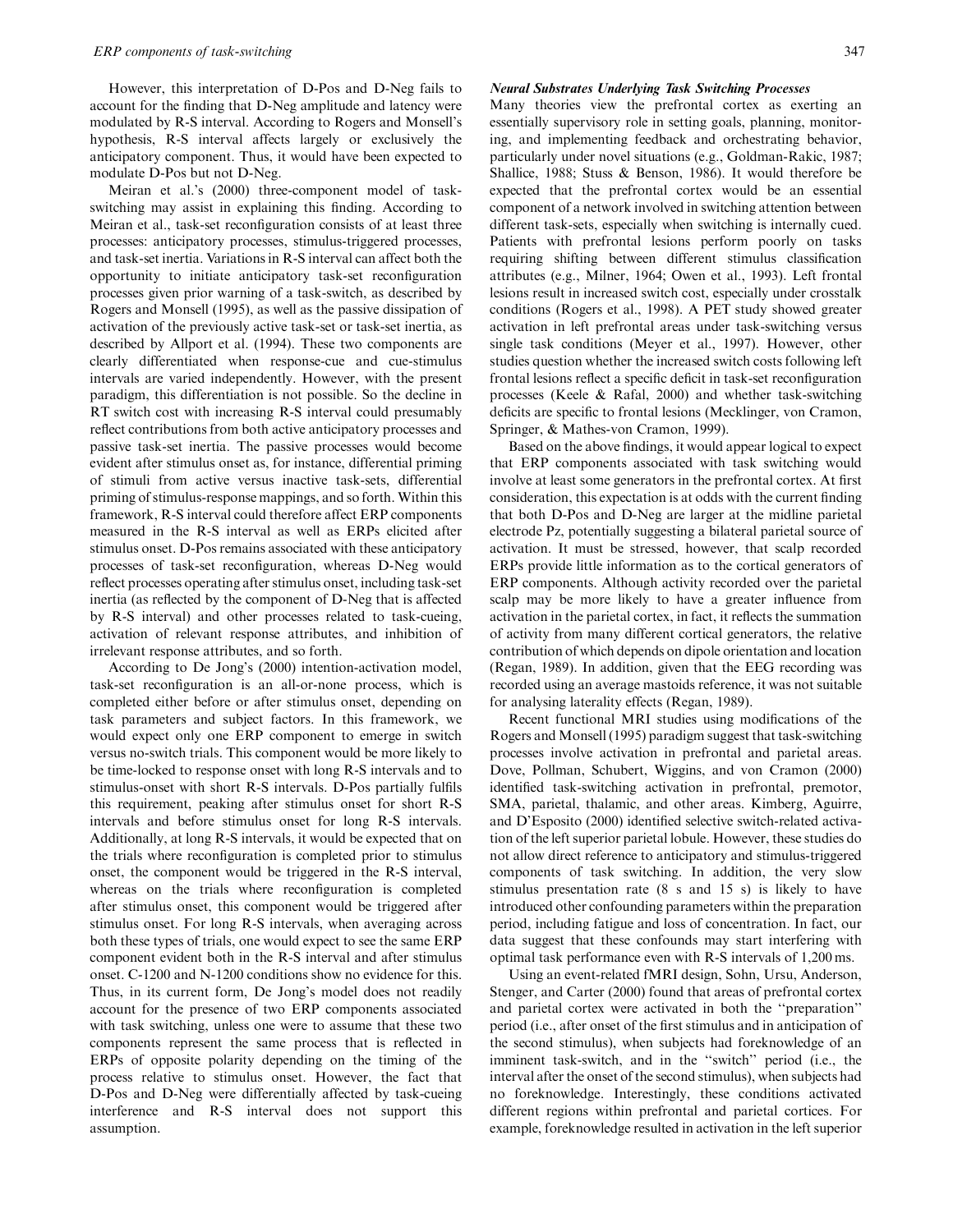However, this interpretation of D-Pos and D-Neg fails to account for the finding that D-Neg amplitude and latency were modulated by R-S interval. According to Rogers and Monsell's hypothesis, R-S interval affects largely or exclusively the anticipatory component. Thus, it would have been expected to modulate D-Pos but not D-Neg.

Meiran et al.'s (2000) three-component model of taskswitching may assist in explaining this finding. According to Meiran et al., task-set reconfiguration consists of at least three processes: anticipatory processes, stimulus-triggered processes, and task-set inertia. Variations in R-S interval can affect both the opportunity to initiate anticipatory task-set reconfiguration processes given prior warning of a task-switch, as described by Rogers and Monsell (1995), as well as the passive dissipation of activation of the previously active task-set or task-set inertia, as described by Allport et al. (1994). These two components are clearly differentiated when response-cue and cue-stimulus intervals are varied independently. However, with the present paradigm, this differentiation is not possible. So the decline in RT switch cost with increasing R-S interval could presumably reflect contributions from both active anticipatory processes and passive task-set inertia. The passive processes would become evident after stimulus onset as, for instance, differential priming of stimuli from active versus inactive task-sets, differential priming of stimulus-response mappings, and so forth. Within this framework, R-S interval could therefore affect ERP components measured in the R-S interval as well as ERPs elicited after stimulus onset. D-Pos remains associated with these anticipatory processes of task-set reconfiguration, whereas D-Neg would reflect processes operating after stimulus onset, including task-set inertia (as reflected by the component of D-Neg that is affected by R-S interval) and other processes related to task-cueing, activation of relevant response attributes, and inhibition of irrelevant response attributes, and so forth.

According to De Jong's (2000) intention-activation model, task-set reconfiguration is an all-or-none process, which is completed either before or after stimulus onset, depending on task parameters and subject factors. In this framework, we would expect only one ERP component to emerge in switch versus no-switch trials. This component would be more likely to be time-locked to response onset with long R-S intervals and to stimulus-onset with short R-S intervals. D-Pos partially fulfils this requirement, peaking after stimulus onset for short R-S intervals and before stimulus onset for long R-S intervals. Additionally, at long R-S intervals, it would be expected that on the trials where reconfiguration is completed prior to stimulus onset, the component would be triggered in the R-S interval, whereas on the trials where reconfiguration is completed after stimulus onset, this component would be triggered after stimulus onset. For long R-S intervals, when averaging across both these types of trials, one would expect to see the same ERP component evident both in the R-S interval and after stimulus onset. C-1200 and N-1200 conditions show no evidence for this. Thus, in its current form, De Jong's model does not readily account for the presence of two ERP components associated with task switching, unless one were to assume that these two components represent the same process that is reflected in ERPs of opposite polarity depending on the timing of the process relative to stimulus onset. However, the fact that D-Pos and D-Neg were differentially affected by task-cueing interference and R-S interval does not support this assumption.

## Neural Substrates Underlying Task Switching Processes

Many theories view the prefrontal cortex as exerting an essentially supervisory role in setting goals, planning, monitoring, and implementing feedback and orchestrating behavior, particularly under novel situations (e.g., Goldman-Rakic, 1987; Shallice, 1988; Stuss & Benson, 1986). It would therefore be expected that the prefrontal cortex would be an essential component of a network involved in switching attention between different task-sets, especially when switching is internally cued. Patients with prefrontal lesions perform poorly on tasks requiring shifting between different stimulus classification attributes (e.g., Milner, 1964; Owen et al., 1993). Left frontal lesions result in increased switch cost, especially under crosstalk conditions (Rogers et al., 1998). A PET study showed greater activation in left prefrontal areas under task-switching versus single task conditions (Meyer et al., 1997). However, other studies question whether the increased switch costs following left frontal lesions reflect a specific deficit in task-set reconfiguration processes (Keele & Rafal, 2000) and whether task-switching deficits are specific to frontal lesions (Mecklinger, von Cramon, Springer, & Mathes-von Cramon, 1999).

Based on the above findings, it would appear logical to expect that ERP components associated with task switching would involve at least some generators in the prefrontal cortex. At first consideration, this expectation is at odds with the current finding that both D-Pos and D-Neg are larger at the midline parietal electrode Pz, potentially suggesting a bilateral parietal source of activation. It must be stressed, however, that scalp recorded ERPs provide little information as to the cortical generators of ERP components. Although activity recorded over the parietal scalp may be more likely to have a greater influence from activation in the parietal cortex, in fact, it reflects the summation of activity from many different cortical generators, the relative contribution of which depends on dipole orientation and location (Regan, 1989). In addition, given that the EEG recording was recorded using an average mastoids reference, it was not suitable for analysing laterality effects (Regan, 1989).

Recent functional MRI studies using modifications of the Rogers and Monsell (1995) paradigm suggest that task-switching processes involve activation in prefrontal and parietal areas. Dove, Pollman, Schubert, Wiggins, and von Cramon (2000) identified task-switching activation in prefrontal, premotor, SMA, parietal, thalamic, and other areas. Kimberg, Aguirre, and D'Esposito (2000) identified selective switch-related activation of the left superior parietal lobule. However, these studies do not allow direct reference to anticipatory and stimulus-triggered components of task switching. In addition, the very slow stimulus presentation rate (8 s and 15 s) is likely to have introduced other confounding parameters within the preparation period, including fatigue and loss of concentration. In fact, our data suggest that these confounds may start interfering with optimal task performance even with R-S intervals of 1,200 ms.

Using an event-related fMRI design, Sohn, Ursu, Anderson, Stenger, and Carter (2000) found that areas of prefrontal cortex and parietal cortex were activated in both the ''preparation'' period (i.e., after onset of the first stimulus and in anticipation of the second stimulus), when subjects had foreknowledge of an imminent task-switch, and in the ''switch'' period (i.e., the interval after the onset of the second stimulus), when subjects had no foreknowledge. Interestingly, these conditions activated different regions within prefrontal and parietal cortices. For example, foreknowledge resulted in activation in the left superior